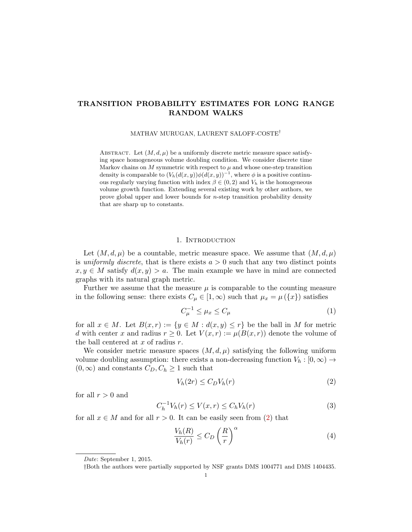# TRANSITION PROBABILITY ESTIMATES FOR LONG RANGE RANDOM WALKS

MATHAV MURUGAN, LAURENT SALOFF-COSTE†

ABSTRACT. Let  $(M, d, \mu)$  be a uniformly discrete metric measure space satisfying space homogeneous volume doubling condition. We consider discrete time Markov chains on  $M$  symmetric with respect to  $\mu$  and whose one-step transition density is comparable to  $(V_h(d(x,y))\phi(d(x,y))^{-1}$ , where  $\phi$  is a positive continuous regularly varying function with index  $\beta \in (0, 2)$  and  $V_h$  is the homogeneous volume growth function. Extending several existing work by other authors, we prove global upper and lower bounds for n-step transition probability density that are sharp up to constants.

# 1. INTRODUCTION

Let  $(M, d, \mu)$  be a countable, metric measure space. We assume that  $(M, d, \mu)$ is uniformly discrete, that is there exists  $a > 0$  such that any two distinct points  $x, y \in M$  satisfy  $d(x, y) > a$ . The main example we have in mind are connected graphs with its natural graph metric.

Further we assume that the measure  $\mu$  is comparable to the counting measure in the following sense: there exists  $C_{\mu} \in [1, \infty)$  such that  $\mu_x = \mu(\lbrace x \rbrace)$  satisfies

<span id="page-0-1"></span>
$$
C_{\mu}^{-1} \le \mu_x \le C_{\mu} \tag{1}
$$

for all  $x \in M$ . Let  $B(x,r) := \{y \in M : d(x,y) \leq r\}$  be the ball in M for metric d with center x and radius  $r \geq 0$ . Let  $V(x,r) := \mu(B(x,r))$  denote the volume of the ball centered at  $x$  of radius  $r$ .

We consider metric measure spaces  $(M, d, \mu)$  satisfying the following uniform volume doubling assumption: there exists a non-decreasing function  $V_h: [0, \infty) \to$  $(0, \infty)$  and constants  $C_D, C_h \geq 1$  such that

<span id="page-0-0"></span>
$$
V_h(2r) \le C_D V_h(r) \tag{2}
$$

for all  $r > 0$  and

<span id="page-0-2"></span>
$$
C_h^{-1}V_h(r) \le V(x,r) \le C_hV_h(r) \tag{3}
$$

for all  $x \in M$  and for all  $r > 0$ . It can be easily seen from [\(2\)](#page-0-0) that

<span id="page-0-3"></span>
$$
\frac{V_h(R)}{V_h(r)} \le C_D \left(\frac{R}{r}\right)^{\alpha} \tag{4}
$$

Date: September 1, 2015.

<sup>†</sup>Both the authors were partially supported by NSF grants DMS 1004771 and DMS 1404435.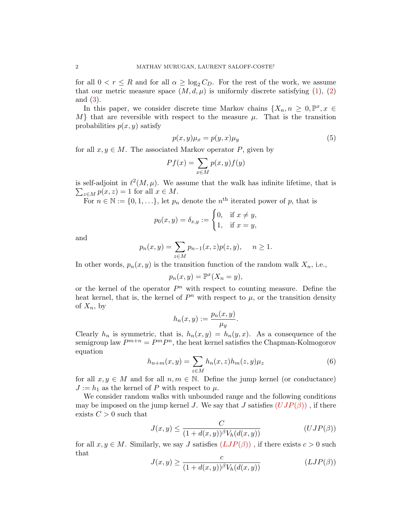for all  $0 < r \leq R$  and for all  $\alpha \geq \log_2 C_D$ . For the rest of the work, we assume that our metric measure space  $(M, d, \mu)$  is uniformly discrete satisfying [\(1\)](#page-0-1), [\(2\)](#page-0-0) and [\(3\)](#page-0-2).

In this paper, we consider discrete time Markov chains  $\{X_n, n \geq 0, \mathbb{P}^x, x \in$  $M$  that are reversible with respect to the measure  $\mu$ . That is the transition probabilities  $p(x, y)$  satisfy

<span id="page-1-3"></span>
$$
p(x,y)\mu_x = p(y,x)\mu_y \tag{5}
$$

for all  $x, y \in M$ . The associated Markov operator P, given by

$$
Pf(x) = \sum_{x \in M} p(x, y) f(y)
$$

is self-adjoint in  $\ell^2(M, \mu)$ . We assume that the walk has infinite lifetime, that is  $\sum_{z \in M} p(x, z) = 1$  for all  $x \in M$ .

For  $n \in \mathbb{N} := \{0, 1, \ldots\}$ , let  $p_n$  denote the  $n^{\text{th}}$  iterated power of p, that is

$$
p_0(x, y) = \delta_{x,y} := \begin{cases} 0, & \text{if } x \neq y, \\ 1, & \text{if } x = y, \end{cases}
$$

and

$$
p_n(x, y) = \sum_{z \in M} p_{n-1}(x, z)p(z, y), \quad n \ge 1.
$$

In other words,  $p_n(x, y)$  is the transition function of the random walk  $X_n$ , i.e.,

$$
p_n(x, y) = \mathbb{P}^x(X_n = y),
$$

or the kernel of the operator  $P<sup>n</sup>$  with respect to counting measure. Define the heat kernel, that is, the kernel of  $P<sup>n</sup>$  with respect to  $\mu$ , or the transition density of  $X_n$ , by

$$
h_n(x,y) := \frac{p_n(x,y)}{\mu_y}.
$$

Clearly  $h_n$  is symmetric, that is,  $h_n(x, y) = h_n(y, x)$ . As a consequence of the semigroup law  $P^{m+n} = P^m P^n$ , the heat kernel satisfies the Chapman-Kolmogorov equation

<span id="page-1-2"></span>
$$
h_{n+m}(x,y) = \sum_{z \in M} h_n(x,z)h_m(z,y)\mu_z \tag{6}
$$

for all  $x, y \in M$  and for all  $n, m \in \mathbb{N}$ . Define the jump kernel (or conductance)  $J := h_1$  as the kernel of P with respect to  $\mu$ .

We consider random walks with unbounded range and the following conditions may be imposed on the jump kernel J. We say that J satisfies  $(UJP(\beta))$  $(UJP(\beta))$  $(UJP(\beta))$ , if there exists  $C > 0$  such that

<span id="page-1-0"></span>
$$
J(x,y) \le \frac{C}{(1+d(x,y))^{\beta} V_h(d(x,y))}
$$
 (UJP( $\beta$ ))

for all  $x, y \in M$ . Similarly, we say J satisfies  $(LJP(\beta))$  $(LJP(\beta))$  $(LJP(\beta))$ , if there exists  $c > 0$  such that

<span id="page-1-1"></span>
$$
J(x,y) \ge \frac{c}{(1+d(x,y))^{\beta} V_h(d(x,y))}
$$
 (LJP( $\beta$ ))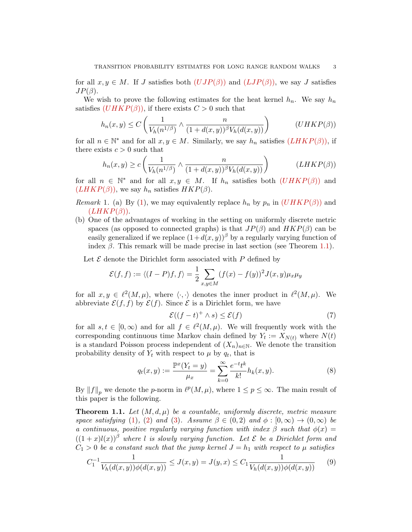for all  $x, y \in M$ . If J satisfies both  $(UIP(\beta))$  and  $(LJP(\beta))$  $(LJP(\beta))$  $(LJP(\beta))$ , we say J satisfies  $JP(\beta)$ .

We wish to prove the following estimates for the heat kernel  $h_n$ . We say  $h_n$ satisfies  $(UHKP(\beta))$  $(UHKP(\beta))$  $(UHKP(\beta))$ , if there exists  $C > 0$  such that

<span id="page-2-0"></span>
$$
h_n(x,y) \le C\left(\frac{1}{V_h(n^{1/\beta})} \wedge \frac{n}{(1+d(x,y))^{\beta}V_h(d(x,y))}\right) \qquad (UHKP(\beta))
$$

for all  $n \in \mathbb{N}^*$  and for all  $x, y \in M$ . Similarly, we say  $h_n$  satisfies  $(LHKP(\beta))$  $(LHKP(\beta))$  $(LHKP(\beta))$ , if there exists  $c > 0$  such that

<span id="page-2-1"></span>
$$
h_n(x,y) \ge c \left( \frac{1}{V_h(n^{1/\beta})} \wedge \frac{n}{(1 + d(x,y))^{\beta} V_h(d(x,y))} \right) \qquad (LHKP(\beta))
$$

for all  $n \in \mathbb{N}^*$  and for all  $x, y \in M$ . If  $h_n$  satisfies both  $(UHKP(\beta))$  $(UHKP(\beta))$  $(UHKP(\beta))$  and  $(LHKP(\beta))$  $(LHKP(\beta))$  $(LHKP(\beta))$ , we say  $h_n$  satisfies  $HKP(\beta)$ .

- Remark 1. (a) By [\(1\)](#page-0-1), we may equivalently replace  $h_n$  by  $p_n$  in  $(UHKP(\beta))$  $(UHKP(\beta))$  $(UHKP(\beta))$  and  $(LHKP(\beta)).$  $(LHKP(\beta)).$  $(LHKP(\beta)).$
- (b) One of the advantages of working in the setting on uniformly discrete metric spaces (as opposed to connected graphs) is that  $JP(\beta)$  and  $HKP(\beta)$  can be easily generalized if we replace  $(1+d(x,y))^{\beta}$  by a regularly varying function of index  $\beta$ . This remark will be made precise in last section (see Theorem [1.1\)](#page-2-2).

Let  $\mathcal E$  denote the Dirichlet form associated with  $P$  defined by

$$
\mathcal{E}(f,f) := \langle (I-P)f,f \rangle = \frac{1}{2} \sum_{x,y \in M} (f(x) - f(y))^2 J(x,y) \mu_x \mu_y
$$

for all  $x, y \in \ell^2(M, \mu)$ , where  $\langle \cdot, \cdot \rangle$  denotes the inner product in  $\ell^2(M, \mu)$ . We abbreviate  $\mathcal{E}(f, f)$  by  $\mathcal{E}(f)$ . Since  $\mathcal E$  is a Dirichlet form, we have

$$
\mathcal{E}((f-t)^+ \wedge s) \le \mathcal{E}(f) \tag{7}
$$

for all  $s, t \in [0, \infty)$  and for all  $f \in \ell^2(M, \mu)$ . We will frequently work with the corresponding continuous time Markov chain defined by  $Y_t := X_{N(t)}$  where  $N(t)$ is a standard Poisson process independent of  $(X_n)_{n\in\mathbb{N}}$ . We denote the transition probability density of  $Y_t$  with respect to  $\mu$  by  $q_t$ , that is

<span id="page-2-3"></span>
$$
q_t(x,y) := \frac{\mathbb{P}^x(Y_t = y)}{\mu_x} = \sum_{k=0}^{\infty} \frac{e^{-t}t^k}{k!} h_k(x,y).
$$
 (8)

By  $||f||_p$  we denote the p-norm in  $\ell^p(M,\mu)$ , where  $1 \leq p \leq \infty$ . The main result of this paper is the following.

<span id="page-2-2"></span>**Theorem 1.1.** Let  $(M, d, \mu)$  be a countable, uniformly discrete, metric measure space satisfying [\(1\)](#page-0-1), [\(2\)](#page-0-0) and [\(3\)](#page-0-2). Assume  $\beta \in (0, 2)$  and  $\phi : [0, \infty) \to (0, \infty)$  be a continuous, positive regularly varying function with index  $\beta$  such that  $\phi(x) =$  $((1+x)l(x))^{\beta}$  where l is slowly varying function. Let  $\mathcal E$  be a Dirichlet form and  $C_1 > 0$  be a constant such that the jump kernel  $J = h_1$  with respect to  $\mu$  satisfies

<span id="page-2-4"></span>
$$
C_1^{-1} \frac{1}{V_h(d(x,y))\phi(d(x,y))} \le J(x,y) = J(y,x) \le C_1 \frac{1}{V_h(d(x,y))\phi(d(x,y))}
$$
(9)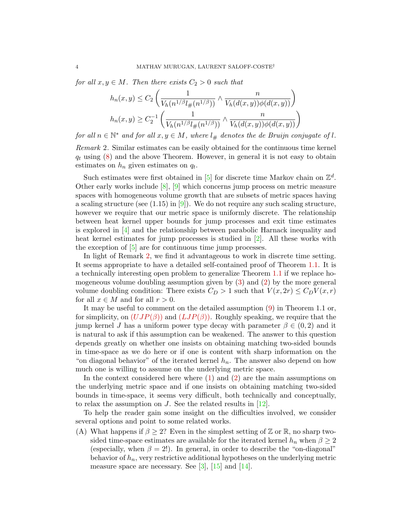for all  $x, y \in M$ . Then there exists  $C_2 > 0$  such that

$$
h_n(x,y) \le C_2 \left( \frac{1}{V_h(n^{1/\beta}l_{\#}(n^{1/\beta}))} \wedge \frac{n}{V_h(d(x,y))\phi(d(x,y))} \right)
$$

$$
h_n(x,y) \ge C_2^{-1} \left( \frac{1}{V_h(n^{1/\beta}l_{\#}(n^{1/\beta}))} \wedge \frac{n}{V_h(d(x,y))\phi(d(x,y))} \right)
$$

for all  $n \in \mathbb{N}^*$  and for all  $x, y \in M$ , where  $l_{\#}$  denotes the de Bruijn conjugate of l.

<span id="page-3-0"></span>Remark 2. Similar estimates can be easily obtained for the continuous time kernel  $q_t$  using [\(8\)](#page-2-3) and the above Theorem. However, in general it is not easy to obtain estimates on  $h_n$  given estimates on  $q_t$ .

Such estimates were first obtained in [\[5\]](#page-30-0) for discrete time Markov chain on  $\mathbb{Z}^d$ . Other early works include  $[8]$ ,  $[9]$  which concerns jump process on metric measure spaces with homogeneous volume growth that are subsets of metric spaces having a scaling structure (see  $(1.15)$  in  $[9]$ ). We do not require any such scaling structure, however we require that our metric space is uniformly discrete. The relationship between heat kernel upper bounds for jump processes and exit time estimates is explored in [\[4\]](#page-30-3) and the relationship between parabolic Harnack inequality and heat kernel estimates for jump processes is studied in [\[2\]](#page-29-0). All these works with the exception of [\[5\]](#page-30-0) are for continuous time jump processes.

In light of Remark [2,](#page-3-0) we find it advantageous to work in discrete time setting. It seems appropriate to have a detailed self-contained proof of Theorem [1.1.](#page-2-2) It is a technically interesting open problem to generalize Theorem [1.1](#page-2-2) if we replace homogeneous volume doubling assumption given by [\(3\)](#page-0-2) and [\(2\)](#page-0-0) by the more general volume doubling condition: There exists  $C_D > 1$  such that  $V(x, 2r) \leq C_D V(x, r)$ for all  $x \in M$  and for all  $r > 0$ .

It may be useful to comment on the detailed assumption [\(9\)](#page-2-4) in Theorem 1.1 or, for simplicity, on  $(UJP(\beta))$  $(UJP(\beta))$  $(UJP(\beta))$  and  $(LJP(\beta))$  $(LJP(\beta))$  $(LJP(\beta))$ . Roughly speaking, we require that the jump kernel J has a uniform power type decay with parameter  $\beta \in (0, 2)$  and it is natural to ask if this assumption can be weakened. The answer to this question depends greatly on whether one insists on obtaining matching two-sided bounds in time-space as we do here or if one is content with sharp information on the "on diagonal behavior" of the iterated kernel  $h_n$ . The answer also depend on how much one is willing to assume on the underlying metric space.

In the context considered here where [\(1\)](#page-0-1) and [\(2\)](#page-0-0) are the main assumptions on the underlying metric space and if one insists on obtaining matching two-sided bounds in time-space, it seems very difficult, both technically and conceptually, to relax the assumption on J. See the related results in [\[12\]](#page-30-4).

To help the reader gain some insight on the difficulties involved, we consider several options and point to some related works.

(A) What happens if  $\beta \geq 2$ ? Even in the simplest setting of Z or R, no sharp twosided time-space estimates are available for the iterated kernel  $h_n$  when  $\beta \geq 2$ (especially, when  $\beta = 2!$ ). In general, in order to describe the "on-diagonal" behavior of  $h_n$ , very restrictive additional hypotheses on the underlying metric measure space are necessary. See  $[3]$ ,  $[15]$  and  $[14]$ .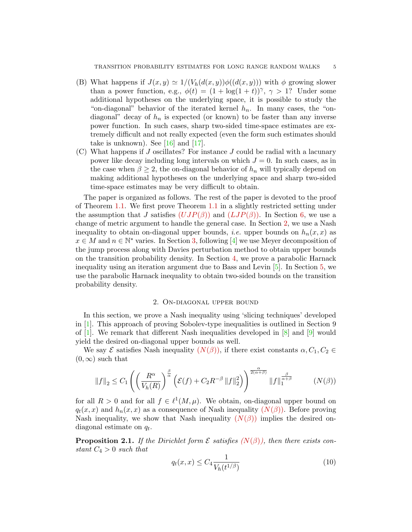- (B) What happens if  $J(x, y) \simeq 1/(V_h(d(x, y))\phi((d(x, y)))$  with  $\phi$  growing slower than a power function, e.g.,  $\phi(t) = (1 + \log(1 + t))^{\gamma}, \gamma > 1$ ? Under some additional hypotheses on the underlying space, it is possible to study the "on-diagonal" behavior of the iterated kernel  $h_n$ . In many cases, the "ondiagonal" decay of  $h_n$  is expected (or known) to be faster than any inverse power function. In such cases, sharp two-sided time-space estimates are extremely difficult and not really expected (even the form such estimates should take is unknown). See  $[16]$  and  $[17]$ .
- (C) What happens if J oscillates? For instance J could be radial with a lacunary power like decay including long intervals on which  $J = 0$ . In such cases, as in the case when  $\beta \geq 2$ , the on-diagonal behavior of  $h_n$  will typically depend on making additional hypotheses on the underlying space and sharp two-sided time-space estimates may be very difficult to obtain.

The paper is organized as follows. The rest of the paper is devoted to the proof of Theorem [1.1.](#page-2-2) We first prove Theorem [1.1](#page-2-2) in a slightly restricted setting under the assumption that J satisfies  $(UJP(\beta))$  $(UJP(\beta))$  $(UJP(\beta))$  and  $(LJP(\beta))$  $(LJP(\beta))$  $(LJP(\beta))$ . In Section [6,](#page-28-0) we use a change of metric argument to handle the general case. In Section [2,](#page-4-0) we use a Nash inequality to obtain on-diagonal upper bounds, *i.e.* upper bounds on  $h_n(x, x)$  as  $x \in M$  and  $n \in \mathbb{N}^*$  varies. In Section [3,](#page-11-0) following [\[4\]](#page-30-3) we use Meyer decomposition of the jump process along with Davies perturbation method to obtain upper bounds on the transition probability density. In Section [4,](#page-17-0) we prove a parabolic Harnack inequality using an iteration argument due to Bass and Levin [\[5\]](#page-30-0). In Section [5,](#page-25-0) we use the parabolic Harnack inequality to obtain two-sided bounds on the transition probability density.

## 2. On-diagonal upper bound

<span id="page-4-0"></span>In this section, we prove a Nash inequality using 'slicing techniques' developed in [\[1\]](#page-29-2). This approach of proving Sobolev-type inequalities is outlined in Section 9 of  $[1]$ . We remark that different Nash inequalities developed in  $[8]$  and  $[9]$  would yield the desired on-diagonal upper bounds as well.

We say  $\mathcal E$  satisfies Nash inequality  $(N(\beta))$ , if there exist constants  $\alpha, C_1, C_2 \in$  $(0, \infty)$  such that

<span id="page-4-2"></span>
$$
||f||_2 \leq C_1 \left( \left( \frac{R^{\alpha}}{V_h(R)} \right)^{\frac{\beta}{\alpha}} \left( \mathcal{E}(f) + C_2 R^{-\beta} ||f||_2^2 \right) \right)^{\frac{\alpha}{2(\alpha+\beta)}} ||f||_1^{\frac{\beta}{\alpha+\beta}} \qquad (N(\beta))
$$

for all  $R > 0$  and for all  $f \in \ell^1(M, \mu)$ . We obtain, on-diagonal upper bound on  $q_t(x, x)$  and  $h_n(x, x)$  as a consequence of Nash inequality  $(N(\beta))$ . Before proving [N](#page-4-1)ash inequality, we show that Nash inequality  $(N(\beta))$  implies the desired ondiagonal estimate on  $q_t$ .

<span id="page-4-3"></span>**Proposition 2.1.** If the Dirichlet form  $\mathcal E$  satisfies  $(N(\beta))$  $(N(\beta))$  $(N(\beta))$ , then there exists constant  $C_4 > 0$  such that

<span id="page-4-1"></span>
$$
q_t(x,x) \le C_4 \frac{1}{V_h(t^{1/\beta})}
$$
\n(10)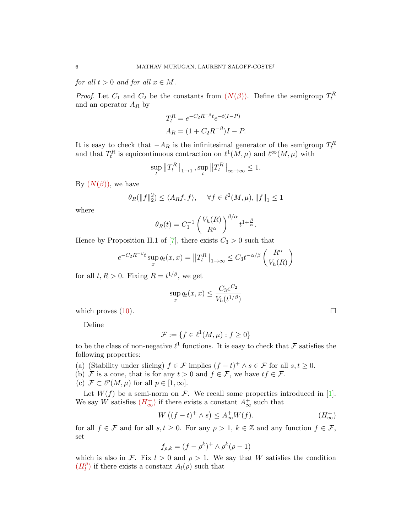for all  $t > 0$  and for all  $x \in M$ .

*Proof.* Let  $C_1$  and  $C_2$  be the constants from  $(N(\beta))$ . Define the semigroup  $T_t^R$ and an operator  $A_R$  by

$$
T_t^R = e^{-C_2 R^{-\beta} t} e^{-t(I-P)}
$$
  
\n
$$
A_R = (1 + C_2 R^{-\beta})I - P.
$$

It is easy to check that  $-A_R$  is the infinitesimal generator of the semigroup  $T_t^R$ and that  $T_t^R$  is equicontinuous contraction on  $\ell^1(M, \mu)$  and  $\ell^{\infty}(M, \mu)$  with

$$
\sup_{t} \left\|T^{R}_t\right\|_{1\rightarrow 1}, \sup_{t} \left\|T^{R}_t\right\|_{\infty\rightarrow \infty} \leq 1.
$$

By  $(N(\beta))$ , we have

$$
\theta_R(\|f\|_2^2) \le \langle A_R f, f \rangle, \quad \forall f \in \ell^2(M, \mu), \|f\|_1 \le 1
$$

where

$$
\theta_R(t) = C_1^{-1} \left( \frac{V_h(R)}{R^{\alpha}} \right)^{\beta/\alpha} t^{1 + \frac{\beta}{\alpha}}.
$$

Hence by Proposition II.1 of [\[7\]](#page-30-9), there exists  $C_3 > 0$  such that

$$
e^{-C_2 R^{-\beta}t} \sup_x q_t(x, x) = ||T_t^R||_{1 \to \infty} \le C_3 t^{-\alpha/\beta} \left(\frac{R^{\alpha}}{V_h(R)}\right)
$$

for all  $t, R > 0$ . Fixing  $R = t^{1/\beta}$ , we get

$$
\sup_{x} q_t(x,x) \le \frac{C_3 e^{C_2}}{V_h(t^{1/\beta})}
$$

which proves  $(10)$ .

Define

$$
\mathcal{F} := \{ f \in \ell^1(M, \mu) : f \ge 0 \}
$$

to be the class of non-negative  $\ell^1$  functions. It is easy to check that F satisfies the following properties:

- (a) (Stability under slicing)  $f \in \mathcal{F}$  implies  $(f t)^+ \wedge s \in \mathcal{F}$  for all  $s, t \geq 0$ .
- (b) F is a cone, that is for any  $t > 0$  and  $f \in \mathcal{F}$ , we have  $tf \in \mathcal{F}$ .
- (c)  $\mathcal{F} \subset \ell^p(M,\mu)$  for all  $p \in [1,\infty]$ .

Let  $W(f)$  be a semi-norm on  $\mathcal F$ . We recall some properties introduced in [\[1\]](#page-29-2). We say W satisfies  $(H^+_{\infty})$  $(H^+_{\infty})$  $(H^+_{\infty})$  if there exists a constant  $A^+_{\infty}$  such that

<span id="page-5-1"></span>
$$
W((f-t)^{+} \wedge s) \leq A_{\infty}^{+}W(f). \qquad (H_{\infty}^{+})
$$

for all  $f \in \mathcal{F}$  and for all  $s, t \geq 0$ . For any  $\rho > 1$ ,  $k \in \mathbb{Z}$  and any function  $f \in \mathcal{F}$ , set

$$
f_{\rho,k} = (f - \rho^k)^+ \wedge \rho^k(\rho - 1)
$$

which is also in F. Fix  $l > 0$  and  $\rho > 1$ . We say that W satisfies the condition  $(H_l^{\rho})$  $(H_l^{\rho})$  $(H_l^{\rho})$  $\binom{\rho}{l}$  if there exists a constant  $A_l(\rho)$  such that

<span id="page-5-0"></span>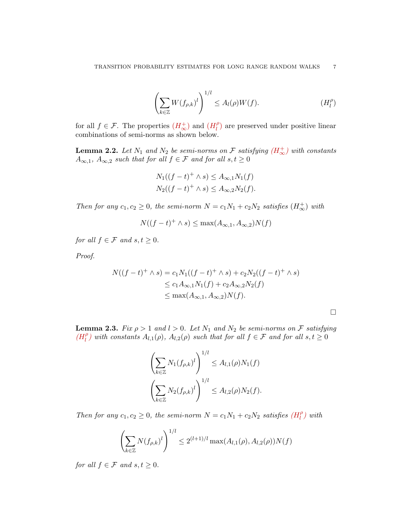<span id="page-6-0"></span>
$$
\left(\sum_{k\in\mathbb{Z}} W(f_{\rho,k})^l\right)^{1/l} \leq A_l(\rho)W(f). \tag{H_l^{\rho}
$$

for all  $f \in \mathcal{F}$ . The properties  $(H^+_{\infty})$  $(H^+_{\infty})$  $(H^+_{\infty})$  and  $(H^{\rho}_{l})$  $\binom{1}{l}$  are preserved under positive linear combinations of semi-norms as shown below.

<span id="page-6-1"></span>**Lemma 2.2.** Let  $N_1$  and  $N_2$  be semi-norms on  $\mathcal F$  satisfying  $(H^+_{\infty})$  $(H^+_{\infty})$  $(H^+_{\infty})$  with constants  $A_{\infty,1}$ ,  $A_{\infty,2}$  such that for all  $f \in \mathcal{F}$  and for all  $s,t \geq 0$ 

$$
N_1((f-t)^+ \wedge s) \le A_{\infty,1} N_1(f)
$$
  

$$
N_2((f-t)^+ \wedge s) \le A_{\infty,2} N_2(f).
$$

Then for any  $c_1, c_2 \geq 0$ , the semi-norm  $N = c_1 N_1 + c_2 N_2$  satisfies  $(H^+_{\infty})$  with

$$
N((f-t)^+ \wedge s) \le \max(A_{\infty,1}, A_{\infty,2})N(f)
$$

for all  $f \in \mathcal{F}$  and  $s, t \geq 0$ .

Proof.

$$
N((f - t)^{+} \wedge s) = c_{1}N_{1}((f - t)^{+} \wedge s) + c_{2}N_{2}((f - t)^{+} \wedge s)
$$
  
\n
$$
\leq c_{1}A_{\infty,1}N_{1}(f) + c_{2}A_{\infty,2}N_{2}(f)
$$
  
\n
$$
\leq \max(A_{\infty,1}, A_{\infty,2})N(f).
$$

<span id="page-6-2"></span>**Lemma 2.3.** Fix  $\rho > 1$  and  $l > 0$ . Let  $N_1$  and  $N_2$  be semi-norms on F satisfying  $(H_l^{\rho})$  $(H_l^{\rho})$  $(H_l^{\rho})$  $\int_{l}^{\rho}$ ) with constants  $A_{l,1}(\rho)$ ,  $A_{l,2}(\rho)$  such that for all  $f \in \mathcal{F}$  and for all  $s,t \geq 0$ 

$$
\left(\sum_{k\in\mathbb{Z}} N_1(f_{\rho,k})^l\right)^{1/l} \leq A_{l,1}(\rho)N_1(f)
$$

$$
\left(\sum_{k\in\mathbb{Z}} N_2(f_{\rho,k})^l\right)^{1/l} \leq A_{l,2}(\rho)N_2(f).
$$

Then for any  $c_1, c_2 \geq 0$ , the semi-norm  $N = c_1 N_1 + c_2 N_2$  satisfies  $(H_l^{\rho})$  $(H_l^{\rho})$  $(H_l^{\rho})$  $\binom{\rho}{l}$  with

$$
\left(\sum_{k\in\mathbb{Z}} N(f_{\rho,k})^l\right)^{1/l} \le 2^{(l+1)/l} \max(A_{l,1}(\rho), A_{l,2}(\rho))N(f)
$$

for all  $f \in \mathcal{F}$  and  $s, t \geq 0$ .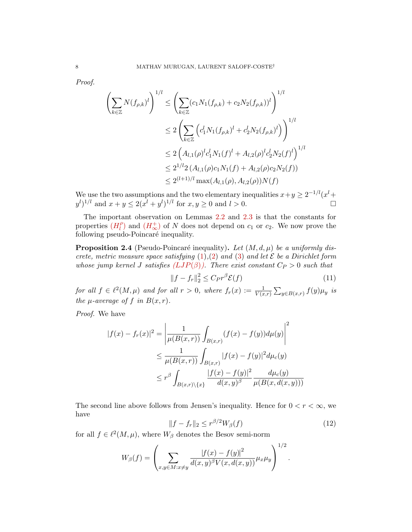Proof.

$$
\left(\sum_{k\in\mathbb{Z}} N(f_{\rho,k})^l\right)^{1/l} \le \left(\sum_{k\in\mathbb{Z}} (c_1 N_1(f_{\rho,k}) + c_2 N_2(f_{\rho,k}))^l\right)^{1/l}
$$
  
\n
$$
\le 2 \left(\sum_{k\in\mathbb{Z}} \left(c_1^l N_1(f_{\rho,k})^l + c_2^l N_2(f_{\rho,k})^l\right)\right)^{1/l}
$$
  
\n
$$
\le 2 \left(A_{l,1}(\rho)^l c_1^l N_1(f)^l + A_{l,2}(\rho)^l c_2^l N_2(f)^l\right)^{1/l}
$$
  
\n
$$
\le 2^{1/l} 2 \left(A_{l,1}(\rho) c_1 N_1(f) + A_{l,2}(\rho) c_2 N_2(f)\right)
$$
  
\n
$$
\le 2^{(l+1)/l} \max(A_{l,1}(\rho), A_{l,2}(\rho)) N(f)
$$

We use the two assumptions and the two elementary inequalities  $x+y \geq 2^{-1/l} (x^l +$  $(y^{l})^{1/l}$  and  $x + y \leq 2(x^{l} + y^{l})^{1/l}$  for  $x, y \geq 0$  and  $l > 0$ .

The important observation on Lemmas [2.2](#page-6-1) and [2.3](#page-6-2) is that the constants for properties  $(H_l^{\rho})$  $(H_l^{\rho})$  $(H_l^{\rho})$  $\binom{\rho}{l}$  and  $\left(H_{\infty}^{+}\right)$  $\left(H_{\infty}^{+}\right)$  $\left(H_{\infty}^{+}\right)$  of N does not depend on  $c_1$  or  $c_2$ . We now prove the following pseudo-Poincaré inequality.

<span id="page-7-1"></span>**Proposition 2.4** (Pseudo-Poincaré inequality). Let  $(M, d, \mu)$  be a uniformly discrete, metric measure space satisfying  $(1),(2)$  $(1),(2)$  $(1),(2)$  and  $(3)$  and let  $\mathcal E$  be a Dirichlet form whose jump kernel J satisfies  $(LJP(\beta))$  $(LJP(\beta))$  $(LJP(\beta))$ . There exist constant  $C_P > 0$  such that

$$
||f - f_r||_2^2 \le C_P r^{\beta} \mathcal{E}(f)
$$
\n(11)

for all  $f \in \ell^2(M, \mu)$  and for all  $r > 0$ , where  $f_r(x) := \frac{1}{V(x,r)} \sum_{y \in B(x,r)} f(y) \mu_y$  is the  $\mu$ -average of f in  $B(x,r)$ .

Proof. We have

$$
|f(x) - f_r(x)|^2 = \left| \frac{1}{\mu(B(x, r))} \int_{B(x, r)} (f(x) - f(y)) d\mu(y) \right|^2
$$
  

$$
\leq \frac{1}{\mu(B(x, r))} \int_{B(x, r)} |f(x) - f(y)|^2 d\mu_c(y)
$$
  

$$
\leq r^{\beta} \int_{B(x, r)\setminus\{x\}} \frac{|f(x) - f(y)|^2}{d(x, y)^{\beta}} \frac{d\mu_c(y)}{\mu(B(x, d(x, y)))}
$$

The second line above follows from Jensen's inequality. Hence for  $0 < r < \infty$ , we have

<span id="page-7-0"></span>
$$
||f - f<||_2 \le r^{\beta/2} W_{\beta}(f) \tag{12}
$$

for all  $f \in \ell^2(M, \mu)$ , where  $W_\beta$  denotes the Besov semi-norm

$$
W_{\beta}(f) = \left(\sum_{x,y \in M: x \neq y} \frac{|f(x) - f(y)|^2}{d(x,y)^{\beta} V(x, d(x,y))} \mu_x \mu_y \right)^{1/2}.
$$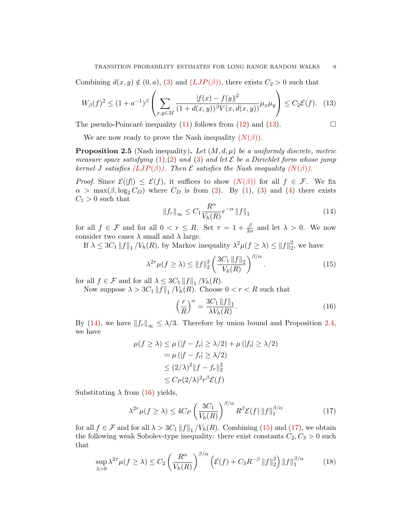Combining  $d(x, y) \notin (0, a)$ , [\(3\)](#page-0-2) and  $(LJP(\beta))$  $(LJP(\beta))$  $(LJP(\beta))$ , there exists  $C_2 > 0$  such that

<span id="page-8-0"></span>
$$
W_{\beta}(f)^{2} \le (1 + a^{-1})^{\beta} \left( \sum_{x,y \in M} \frac{|f(x) - f(y)|^{2}}{(1 + d(x,y))^{\beta} V(x, d(x,y))} \mu_{x} \mu_{y} \right) \le C_{2} \mathcal{E}(f). \tag{13}
$$

The pseudo-Poincaré inequality [\(11\)](#page-5-1) follows from [\(12\)](#page-7-0) and [\(13\)](#page-8-0).  $\Box$ 

We are now ready to prove the Nash inequality  $(N(\beta))$ .

<span id="page-8-6"></span>**Proposition 2.5** (Nash inequality). Let  $(M, d, \mu)$  be a uniformly discrete, metric measure space satisfying  $(1),(2)$  $(1),(2)$  $(1),(2)$  and  $(3)$  and let E be a Dirichlet form whose jump kernel J satisfies  $(LJP(\beta))$  $(LJP(\beta))$  $(LJP(\beta))$ . Then E satisfies the [N](#page-4-1)ash inequality  $(N(\beta))$ .

*Proof.* Since  $\mathcal{E}(|f|) \leq \mathcal{E}(f)$ , it suffices to show  $(N(\beta))$  $(N(\beta))$  $(N(\beta))$  for all  $f \in \mathcal{F}$ . We fix  $\alpha$  > max( $\beta$ , log<sub>2</sub> C<sub>D</sub>) where C<sub>D</sub> is from [\(2\)](#page-0-0). By [\(1\)](#page-0-1), [\(3\)](#page-0-2) and [\(4\)](#page-0-3) there exists  $C_1 > 0$  such that

<span id="page-8-1"></span>
$$
||f_r||_{\infty} \le C_1 \frac{R^{\alpha}}{V_h(R)} r^{-\alpha} ||f||_1
$$
\n(14)

for all  $f \in \mathcal{F}$  and for all  $0 < r \leq R$ . Set  $\tau = 1 + \frac{\beta}{2\alpha}$  and let  $\lambda > 0$ . We now consider two cases  $\lambda$  small and  $\lambda$  large.

If  $\lambda \leq 3C_1 ||f||_1 / V_h(R)$ , by Markov inequality  $\lambda^2 \mu(f \geq \lambda) \leq ||f||_2^2$  $2<sub>2</sub>$ , we have

<span id="page-8-3"></span>
$$
\lambda^{2\tau} \mu(f \ge \lambda) \le ||f||_2^2 \left(\frac{3C_1 \, ||f||_2}{V_h(R)}\right)^{\beta/\alpha}.\tag{15}
$$

for all  $f \in \mathcal{F}$  and for all  $\lambda \leq 3C_1 ||f||_1 / V_h(R)$ .

Now suppose  $\lambda > 3C_1 ||f||_1 / V_h(R)$ . Choose  $0 < r < R$  such that

<span id="page-8-2"></span>
$$
\left(\frac{r}{R}\right)^{\alpha} = \frac{3C_1 \, \|f\|_1}{\lambda V_h(R)}.\tag{16}
$$

By [\(14\)](#page-8-1), we have  $||f_r||_{\infty} \leq \lambda/3$ . Therefore by union bound and Proposition [2.4,](#page-7-1) we have

$$
\mu(f \ge \lambda) \le \mu (|f - f_r| \ge \lambda/2) + \mu (|f_r| \ge \lambda/2)
$$
  
=  $\mu (|f - f_r| \ge \lambda/2)$   
 $\le (2/\lambda)^2 ||f - f_r||_2^2$   
 $\le C_P (2/\lambda)^2 r^{\beta} \mathcal{E}(f)$ 

Substituting  $\lambda$  from [\(16\)](#page-8-2) yields,

<span id="page-8-4"></span>
$$
\lambda^{2\tau} \mu(f \ge \lambda) \le 4C_P \left(\frac{3C_1}{V_h(R)}\right)^{\beta/\alpha} R^{\beta} \mathcal{E}(f) \|f\|_1^{\beta/\alpha} \tag{17}
$$

for all  $f \in \mathcal{F}$  and for all  $\lambda > 3C_1 ||f||_1 / V_h(R)$ . Combining [\(15\)](#page-8-3) and [\(17\)](#page-8-4), we obtain the following weak Sobolev-type inequality: there exist constants  $C_2, C_3 > 0$  such that

<span id="page-8-5"></span>
$$
\sup_{\lambda>0} \lambda^{2\tau} \mu(f \ge \lambda) \le C_2 \left(\frac{R^{\alpha}}{V_h(R)}\right)^{\beta/\alpha} \left(\mathcal{E}(f) + C_3 R^{-\beta} \|f\|_2^2\right) \|f\|_1^{\beta/\alpha} \tag{18}
$$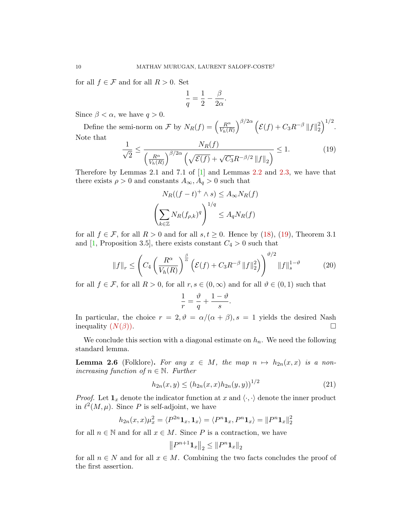for all  $f \in \mathcal{F}$  and for all  $R > 0$ . Set

$$
\frac{1}{q} = \frac{1}{2} - \frac{\beta}{2\alpha}.
$$

Since  $\beta < \alpha$ , we have  $q > 0$ .

Define the semi-norm on F by  $N_R(f) = \left(\frac{R^{\alpha}}{V_L(f)}\right)^{\alpha}$  $V_h(R)$  $\int^{\beta/2\alpha} \left( {\cal E}(f) + C_3 R^{-\beta} \left\| f \right\|_2^2 \right)$  $\binom{2}{2}^{1/2}$ . Note that

<span id="page-9-0"></span>
$$
\frac{1}{\sqrt{2}} \le \frac{N_R(f)}{\left(\frac{R^{\alpha}}{V_h(R)}\right)^{\beta/2\alpha} \left(\sqrt{\mathcal{E}(f)} + \sqrt{C_3}R^{-\beta/2} \|f\|_2\right)} \le 1.
$$
\n(19)

Therefore by Lemmas 2.1 and 7.1 of [\[1\]](#page-29-2) and Lemmas [2.2](#page-6-1) and [2.3,](#page-6-2) we have that there exists  $\rho > 0$  and constants  $A_{\infty}, A_{q} > 0$  such that

$$
N_R((f - t)^+ \wedge s) \le A_\infty N_R(f)
$$

$$
\left(\sum_{k \in \mathbb{Z}} N_R(f_{\rho,k})^q\right)^{1/q} \le A_q N_R(f)
$$

for all  $f \in \mathcal{F}$ , for all  $R > 0$  and for all  $s, t \geq 0$ . Hence by [\(18\)](#page-8-5), [\(19\)](#page-9-0), Theorem 3.1 and [\[1,](#page-29-2) Proposition 3.5], there exists constant  $C_4 > 0$  such that

$$
||f||_{r} \leq \left( C_{4} \left( \frac{R^{\alpha}}{V_{h}(R)} \right)^{\frac{\beta}{\alpha}} \left( \mathcal{E}(f) + C_{3} R^{-\beta} ||f||_{2}^{2} \right) \right)^{\vartheta/2} ||f||_{s}^{1-\vartheta}
$$
(20)

.

for all  $f \in \mathcal{F}$ , for all  $R > 0$ , for all  $r, s \in (0, \infty)$  and for all  $\vartheta \in (0, 1)$  such that

$$
\frac{1}{r} = \frac{\vartheta}{q} + \frac{1-\vartheta}{s}
$$

In particular, the choice  $r = 2, \vartheta = \alpha/(\alpha + \beta), s = 1$  yields the desired Nash inequality  $(N(\beta))$ .

We conclude this section with a diagonal estimate on  $h_n$ . We need the following standard lemma.

<span id="page-9-1"></span>**Lemma 2.6** (Folklore). For any  $x \in M$ , the map  $n \mapsto h_{2n}(x, x)$  is a nonincreasing function of  $n \in \mathbb{N}$ . Further

<span id="page-9-2"></span>
$$
h_{2n}(x,y) \le (h_{2n}(x,x)h_{2n}(y,y))^{1/2} \tag{21}
$$

*Proof.* Let  $\mathbf{1}_x$  denote the indicator function at x and  $\langle \cdot, \cdot \rangle$  denote the inner product in  $\ell^2(M, \mu)$ . Since P is self-adjoint, we have

$$
h_{2n}(x,x)\mu_x^2 = \langle P^{2n}\mathbf{1}_x, \mathbf{1}_x \rangle = \langle P^n \mathbf{1}_x, P^n \mathbf{1}_x \rangle = ||P^n \mathbf{1}_x||_2^2
$$

for all  $n \in \mathbb{N}$  and for all  $x \in M$ . Since P is a contraction, we have

$$
||P^{n+1} \mathbf{1}_x||_2 \le ||P^n \mathbf{1}_x||_2
$$

for all  $n \in N$  and for all  $x \in M$ . Combining the two facts concludes the proof of the first assertion.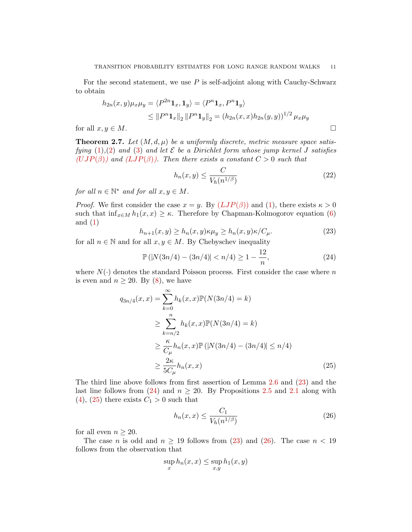For the second statement, we use  $P$  is self-adjoint along with Cauchy-Schwarz to obtain

$$
h_{2n}(x,y)\mu_x\mu_y = \langle P^{2n}\mathbf{1}_x, \mathbf{1}_y \rangle = \langle P^n \mathbf{1}_x, P^n \mathbf{1}_y \rangle
$$
  
 
$$
\leq \|P^n \mathbf{1}_x\|_2 \|P^n \mathbf{1}_y\|_2 = (h_{2n}(x,x)h_{2n}(y,y))^{1/2} \mu_x \mu_y
$$

for all  $x, y \in M$ .

<span id="page-10-4"></span>**Theorem 2.7.** Let  $(M, d, \mu)$  be a uniformly discrete, metric measure space satisfying  $(1),(2)$  $(1),(2)$  $(1),(2)$  and  $(3)$  and let  $\mathcal E$  be a Dirichlet form whose jump kernel J satisfies  $(UJP(\beta))$  $(UJP(\beta))$  $(UJP(\beta))$  and  $(LJP(\beta))$  $(LJP(\beta))$  $(LJP(\beta))$ . Then there exists a constant  $C > 0$  such that

$$
h_n(x,y) \le \frac{C}{V_h(n^{1/\beta})}
$$
\n(22)

for all  $n \in \mathbb{N}^*$  and for all  $x, y \in M$ .

*Proof.* We first consider the case  $x = y$ . By  $(LJP(\beta))$  $(LJP(\beta))$  $(LJP(\beta))$  and [\(1\)](#page-0-1), there exists  $\kappa > 0$ such that  $\inf_{x \in M} h_1(x, x) \geq \kappa$ . Therefore by Chapman-Kolmogorov equation [\(6\)](#page-1-2) and  $(1)$ 

<span id="page-10-0"></span>
$$
h_{n+1}(x,y) \ge h_n(x,y)\kappa \mu_y \ge h_n(x,y)\kappa / C_\mu.
$$
\n(23)

for all  $n \in \mathbb{N}$  and for all  $x, y \in M$ . By Chebyschev inequality

<span id="page-10-1"></span>
$$
\mathbb{P}\left(|N(3n/4) - (3n/4)| < n/4\right) \ge 1 - \frac{12}{n},\tag{24}
$$

where  $N(\cdot)$  denotes the standard Poisson process. First consider the case where n is even and  $n \geq 20$ . By [\(8\)](#page-2-3), we have

$$
q_{3n/4}(x, x) = \sum_{k=0}^{\infty} h_k(x, x) \mathbb{P}(N(3n/4) = k)
$$
  
\n
$$
\geq \sum_{k=n/2}^{n} h_k(x, x) \mathbb{P}(N(3n/4) = k)
$$
  
\n
$$
\geq \frac{\kappa}{C_{\mu}} h_n(x, x) \mathbb{P}(|N(3n/4) - (3n/4)| \leq n/4)
$$
  
\n
$$
\geq \frac{2\kappa}{5C_{\mu}} h_n(x, x)
$$
 (25)

The third line above follows from first assertion of Lemma [2.6](#page-9-1) and [\(23\)](#page-10-0) and the last line follows from [\(24\)](#page-10-1) and  $n \geq 20$ . By Propositions [2.5](#page-8-6) and [2.1](#page-4-3) along with [\(4\)](#page-0-3), [\(25\)](#page-10-2) there exists  $C_1 > 0$  such that

<span id="page-10-3"></span><span id="page-10-2"></span>
$$
h_n(x,x) \le \frac{C_1}{V_h(n^{1/\beta})} \tag{26}
$$

for all even  $n \geq 20$ .

The case *n* is odd and  $n \ge 19$  follows from [\(23\)](#page-10-0) and [\(26\)](#page-10-3). The case  $n < 19$ follows from the observation that

$$
\sup_x h_n(x,x) \le \sup_{x,y} h_1(x,y)
$$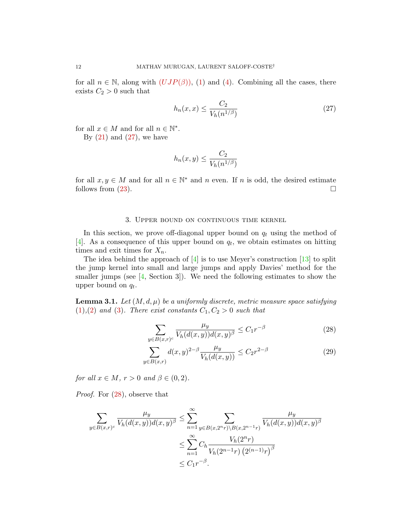for all  $n \in \mathbb{N}$ , along with  $(UIP(\beta))$ , [\(1\)](#page-0-1) and [\(4\)](#page-0-3). Combining all the cases, there exists  $C_2 > 0$  such that

<span id="page-11-1"></span>
$$
h_n(x,x) \le \frac{C_2}{V_h(n^{1/\beta})} \tag{27}
$$

for all  $x \in M$  and for all  $n \in \mathbb{N}^*$ .

By  $(21)$  and  $(27)$ , we have

$$
h_n(x,y) \le \frac{C_2}{V_h(n^{1/\beta})}
$$

for all  $x, y \in M$  and for all  $n \in \mathbb{N}^*$  and n even. If n is odd, the desired estimate follows from  $(23)$ .

#### 3. Upper bound on continuous time kernel

<span id="page-11-0"></span>In this section, we prove off-diagonal upper bound on  $q_t$  using the method of [\[4\]](#page-30-3). As a consequence of this upper bound on  $q_t$ , we obtain estimates on hitting times and exit times for  $X_n$ .

The idea behind the approach of  $[4]$  is to use Meyer's construction  $[13]$  to split the jump kernel into small and large jumps and apply Davies' method for the smaller jumps (see [\[4,](#page-30-3) Section 3]). We need the following estimates to show the upper bound on  $q_t$ .

<span id="page-11-4"></span>**Lemma 3.1.** Let  $(M, d, \mu)$  be a uniformly discrete, metric measure space satisfying  $(1),(2)$  $(1),(2)$  $(1),(2)$  and  $(3)$ . There exist constants  $C_1, C_2 > 0$  such that

<span id="page-11-3"></span><span id="page-11-2"></span>
$$
\sum_{y \in B(x,r)^c} \frac{\mu_y}{V_h(d(x,y))d(x,y)^\beta} \le C_1 r^{-\beta} \tag{28}
$$

$$
\sum_{y \in B(x,r)} d(x,y)^{2-\beta} \frac{\mu_y}{V_h(d(x,y))} \le C_2 r^{2-\beta} \tag{29}
$$

for all  $x \in M$ ,  $r > 0$  and  $\beta \in (0, 2)$ .

Proof. For [\(28\)](#page-11-2), observe that

$$
\sum_{y \in B(x,r)^c} \frac{\mu_y}{V_h(d(x,y))d(x,y)^\beta} \le \sum_{n=1}^\infty \sum_{y \in B(x,2^{n}r) \backslash B(x,2^{n-1}r)} \frac{\mu_y}{V_h(d(x,y))d(x,y)^\beta}
$$

$$
\le \sum_{n=1}^\infty C_h \frac{V_h(2^{n}r)}{V_h(2^{n-1}r) (2^{(n-1)}r)^\beta}
$$

$$
\le C_1 r^{-\beta}.
$$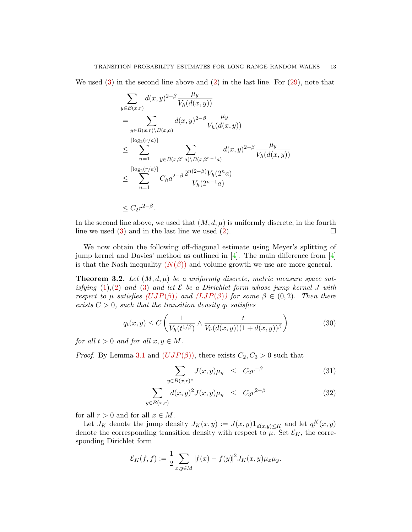We used [\(3\)](#page-0-2) in the second line above and [\(2\)](#page-0-0) in the last line. For [\(29\)](#page-11-3), note that

$$
\sum_{y \in B(x,r)} d(x,y)^{2-\beta} \frac{\mu_y}{V_h(d(x,y))}
$$
\n
$$
= \sum_{y \in B(x,r) \backslash B(x,a)} d(x,y)^{2-\beta} \frac{\mu_y}{V_h(d(x,y))}
$$
\n
$$
\leq \sum_{n=1}^{\lceil \log_2(r/a) \rceil} \sum_{y \in B(x,2^n a) \backslash B(x,2^{n-1}a)} d(x,y)^{2-\beta} \frac{\mu_y}{V_h(d(x,y))}
$$
\n
$$
\leq \sum_{n=1}^{\lceil \log_2(r/a) \rceil} C_h a^{2-\beta} \frac{2^{n(2-\beta)} V_h(2^n a)}{V_h(2^{n-1} a)}
$$
\n
$$
\leq C_2 r^{2-\beta}.
$$

In the second line above, we used that  $(M, d, \mu)$  is uniformly discrete, in the fourth line we used [\(3\)](#page-0-2) and in the last line we used [\(2\)](#page-0-0).  $\Box$ 

We now obtain the following off-diagonal estimate using Meyer's splitting of jump kernel and Davies' method as outlined in [\[4\]](#page-30-3). The main difference from [\[4\]](#page-30-3) is that the [N](#page-4-1)ash inequality  $(N(\beta))$  and volume growth we use are more general.

<span id="page-12-2"></span>**Theorem 3.2.** Let  $(M, d, \mu)$  be a uniformly discrete, metric measure space satisfying  $(1),(2)$  $(1),(2)$  $(1),(2)$  and  $(3)$  and let  $\mathcal E$  be a Dirichlet form whose jump kernel J with respect to  $\mu$  satisfies ([UJP](#page-1-0)( $\beta$ )) and ([LJP](#page-1-1)( $\beta$ )) for some  $\beta \in (0, 2)$ . Then there exists  $C > 0$ , such that the transition density  $q_t$  satisfies

<span id="page-12-1"></span>
$$
q_t(x,y) \le C \left( \frac{1}{V_h(t^{1/\beta})} \wedge \frac{t}{V_h(d(x,y))(1+d(x,y))^{\beta}} \right) \tag{30}
$$

for all  $t > 0$  and for all  $x, y \in M$ .

*Proof.* By Lemma [3.1](#page-11-4) and  $(UJP(\beta))$  $(UJP(\beta))$  $(UJP(\beta))$ , there exists  $C_2, C_3 > 0$  such that

<span id="page-12-0"></span>
$$
\sum_{y \in B(x,r)^c} J(x,y)\mu_y \leq C_2 r^{-\beta} \tag{31}
$$

$$
\sum_{y \in B(x,r)} d(x,y)^2 J(x,y) \mu_y \leq C_3 r^{2-\beta} \tag{32}
$$

for all  $r > 0$  and for all  $x \in M$ .

Let  $J_K$  denote the jump density  $J_K(x, y) := J(x, y) \mathbf{1}_{d(x, y) \leq K}$  and let  $q_t^K(x, y)$ denote the corresponding transition density with respect to  $\mu$ . Set  $\mathcal{E}_K$ , the corresponding Dirichlet form

$$
\mathcal{E}_K(f, f) := \frac{1}{2} \sum_{x, y \in M} |f(x) - f(y)|^2 J_K(x, y) \mu_x \mu_y.
$$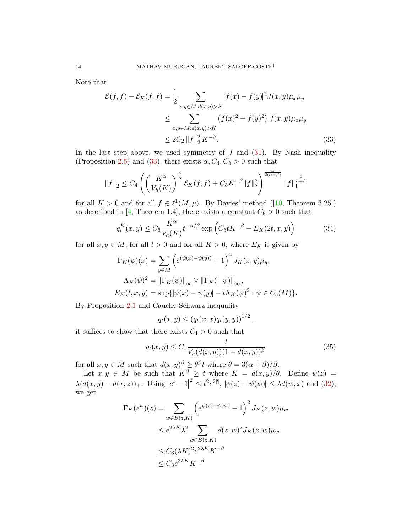Note that

$$
\mathcal{E}(f, f) - \mathcal{E}_K(f, f) = \frac{1}{2} \sum_{x, y \in M : d(x, y) > K} |f(x) - f(y)|^2 J(x, y) \mu_x \mu_y
$$
  
\n
$$
\leq \sum_{x, y \in M : d(x, y) > K} (f(x)^2 + f(y)^2) J(x, y) \mu_x \mu_y
$$
  
\n
$$
\leq 2C_2 \|f\|_2^2 K^{-\beta}.
$$
\n(33)

In the last step above, we used symmetry of  $J$  and  $(31)$ . By Nash inequality (Proposition [2.5\)](#page-8-6) and [\(33\)](#page-13-0), there exists  $\alpha$ ,  $C_4$ ,  $C_5 > 0$  such that

<span id="page-13-0"></span>
$$
||f||_2 \leq C_4 \left( \left( \frac{K^{\alpha}}{V_h(K)} \right)^{\frac{\beta}{\alpha}} \mathcal{E}_K(f,f) + C_5 K^{-\beta} ||f||_2^2 \right)^{\frac{\alpha}{2(\alpha+\beta)}} ||f||_1^{\frac{\beta}{\alpha+\beta}}
$$

for all  $K > 0$  and for all  $f \in \ell^1(M, \mu)$ . By Davies' method ([\[10,](#page-30-11) Theorem 3.25]) as described in [\[4,](#page-30-3) Theorem 1.4], there exists a constant  $C_6 > 0$  such that

<span id="page-13-1"></span>
$$
q_t^K(x,y) \le C_6 \frac{K^{\alpha}}{V_h(K)} t^{-\alpha/\beta} \exp\left(C_5 t K^{-\beta} - E_K(2t,x,y)\right) \tag{34}
$$

for all  $x, y \in M$ , for all  $t > 0$  and for all  $K > 0$ , where  $E_K$  is given by

$$
\Gamma_K(\psi)(x) = \sum_{y \in M} \left( e^{(\psi(x) - \psi(y))} - 1 \right)^2 J_K(x, y) \mu_y,
$$
  

$$
\Lambda_K(\psi)^2 = \|\Gamma_K(\psi)\|_{\infty} \vee \|\Gamma_K(-\psi)\|_{\infty},
$$
  

$$
E_K(t, x, y) = \sup \{ |\psi(x) - \psi(y)| - t\Lambda_K(\psi)^2 : \psi \in C_c(M) \}.
$$

By Proposition [2.1](#page-4-3) and Cauchy-Schwarz inequality

$$
q_t(x, y) \le (q_t(x, x)q_t(y, y))^{1/2}
$$
,

it suffices to show that there exists  $C_1 > 0$  such that

<span id="page-13-2"></span>
$$
q_t(x, y) \le C_1 \frac{t}{V_h(d(x, y))(1 + d(x, y))^{\beta}}
$$
(35)

for all  $x, y \in M$  such that  $d(x, y)$ <sup> $\beta \geq \theta^{\beta} t$  where  $\theta = 3(\alpha + \beta)/\beta$ .</sup>

Let  $x, y \in M$  be such that  $K^{\beta} \geq t$  where  $K = d(x, y)/\theta$ . Define  $\psi(z) =$  $\lambda(d(x,y) - d(x,z))_+$ . Using  $|e^t - 1|^2 \le t^2 e^{2\#}$ ,  $|\psi(z) - \psi(w)| \le \lambda d(w,x)$  and [\(32\)](#page-12-0), we get

$$
\Gamma_K(e^{\psi})(z) = \sum_{w \in B(z,K)} \left( e^{\psi(z) - \psi(w)} - 1 \right)^2 J_K(z, w) \mu_w
$$
  
\n
$$
\leq e^{2\lambda K} \lambda^2 \sum_{w \in B(z,K)} d(z, w)^2 J_K(z, w) \mu_w
$$
  
\n
$$
\leq C_3 (\lambda K)^2 e^{2\lambda K} K^{-\beta}
$$
  
\n
$$
\leq C_3 e^{3\lambda K} K^{-\beta}
$$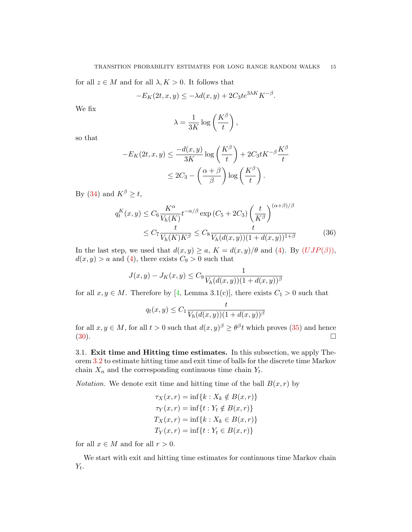for all  $z \in M$  and for all  $\lambda, K > 0$ . It follows that

$$
-E_K(2t, x, y) \le -\lambda d(x, y) + 2C_3 t e^{3\lambda K} K^{-\beta}.
$$

We fix

$$
\lambda = \frac{1}{3K} \log \left( \frac{K^{\beta}}{t} \right),
$$

so that

$$
-E_K(2t, x, y) \le \frac{-d(x, y)}{3K} \log\left(\frac{K^\beta}{t}\right) + 2C_3 t K^{-\beta} \frac{K^\beta}{t}
$$

$$
\le 2C_3 - \left(\frac{\alpha + \beta}{\beta}\right) \log\left(\frac{K^\beta}{t}\right).
$$

By [\(34\)](#page-13-1) and  $K^{\beta} \geq t$ ,

$$
q_t^K(x,y) \le C_6 \frac{K^\alpha}{V_h(K)} t^{-\alpha/\beta} \exp\left(C_5 + 2C_3\right) \left(\frac{t}{K^\beta}\right)^{(\alpha+\beta)/\beta}
$$
  

$$
\le C_7 \frac{t}{V_h(K)K^\beta} \le C_8 \frac{t}{V_h(d(x,y))(1+d(x,y))^{1+\beta}}
$$
(36)

In the last step, we used that  $d(x, y) \ge a$ ,  $K = d(x, y)/\theta$  and [\(4\)](#page-0-3). By  $(UJP(\beta))$  $(UJP(\beta))$  $(UJP(\beta))$ ,  $d(x, y) > a$  and [\(4\)](#page-0-3), there exists  $C_9 > 0$  such that

$$
J(x, y) - J_K(x, y) \le C_9 \frac{1}{V_h(d(x, y))(1 + d(x, y))^\beta}
$$

for all  $x, y \in M$ . Therefore by [\[4,](#page-30-3) Lemma 3.1(c)], there exists  $C_1 > 0$  such that

$$
q_t(x, y) \le C_1 \frac{t}{V_h(d(x, y))(1 + d(x, y))^\beta}
$$

for all  $x, y \in M$ , for all  $t > 0$  such that  $d(x, y)$ <sup> $\beta \geq \theta^{\beta} t$ </sup> which proves [\(35\)](#page-13-2) and hence  $(30).$  $(30).$ 

3.1. Exit time and Hitting time estimates. In this subsection, we apply Theorem [3.2](#page-12-2) to estimate hitting time and exit time of balls for the discrete time Markov chain  $X_n$  and the corresponding continuous time chain  $Y_t$ .

*Notation.* We denote exit time and hitting time of the ball  $B(x, r)$  by

$$
\tau_X(x,r) = \inf\{k : X_k \notin B(x,r)\}
$$

$$
\tau_Y(x,r) = \inf\{t : Y_t \notin B(x,r)\}
$$

$$
T_X(x,r) = \inf\{k : X_k \in B(x,r)\}
$$

$$
T_Y(x,r) = \inf\{t : Y_t \in B(x,r)\}
$$

for all  $x \in M$  and for all  $r > 0$ .

We start with exit and hitting time estimates for continuous time Markov chain  $Y_t$  .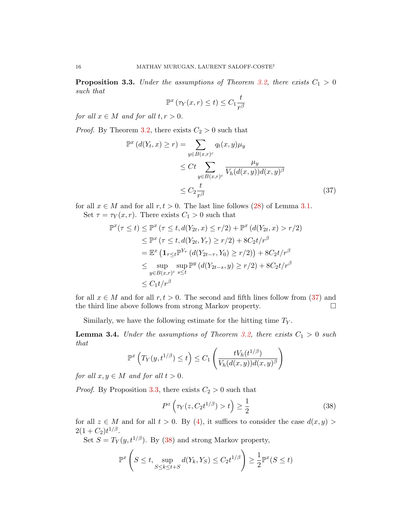<span id="page-15-1"></span>**Proposition 3.3.** Under the assumptions of Theorem [3.2,](#page-12-2) there exists  $C_1 > 0$ such that

<span id="page-15-0"></span>
$$
\mathbb{P}^x\left(\tau_Y(x,r)\leq t\right)\leq C_1\frac{t}{r^{\beta}}
$$

for all  $x \in M$  and for all  $t, r > 0$ .

*Proof.* By Theorem [3.2,](#page-12-2) there exists  $C_2 > 0$  such that

$$
\mathbb{P}^{x} (d(Y_{t}, x) \geq r) = \sum_{y \in B(x,r)^{c}} q_{t}(x, y)\mu_{y}
$$
  
\n
$$
\leq Ct \sum_{y \in B(x,r)^{c}} \frac{\mu_{y}}{V_{h}(d(x, y))d(x, y)^{\beta}}
$$
  
\n
$$
\leq C_{2} \frac{t}{r^{\beta}}
$$
\n(37)

for all  $x \in M$  and for all  $r, t > 0$ . The last line follows [\(28\)](#page-11-2) of Lemma [3.1.](#page-11-4) Set  $\tau = \tau_Y(x, r)$ . There exists  $C_1 > 0$  such that

$$
\mathbb{P}^x(\tau \le t) \le \mathbb{P}^x \left(\tau \le t, d(Y_{2t}, x) \le r/2\right) + \mathbb{P}^x \left(d(Y_{2t}, x) > r/2\right)
$$
  
\n
$$
\le \mathbb{P}^x \left(\tau \le t, d(Y_{2t}, Y_\tau) \ge r/2\right) + 8C_2 t/r^\beta
$$
  
\n
$$
= \mathbb{E}^x \left(\mathbf{1}_{\tau \le t} \mathbb{P}^{Y_\tau} \left(d(Y_{2t-\tau}, Y_0) \ge r/2\right)\right) + 8C_2 t/r^\beta
$$
  
\n
$$
\le \sup_{y \in B(x,r)^c} \sup_{s \le t} \mathbb{P}^y \left(d(Y_{2t-s}, y) \ge r/2\right) + 8C_2 t/r^\beta
$$
  
\n
$$
\le C_1 t/r^\beta
$$

for all  $x \in M$  and for all  $r, t > 0$ . The second and fifth lines follow from [\(37\)](#page-15-0) and the third line above follows from strong Markov property.

Similarly, we have the following estimate for the hitting time  $T_Y$ .

<span id="page-15-3"></span>**Lemma 3.4.** Under the assumptions of Theorem [3.2,](#page-12-2) there exists  $C_1 > 0$  such that

$$
\mathbb{P}^{x}\left(T_{Y}(y,t^{1/\beta})\leq t\right)\leq C_{1}\left(\frac{tV_{h}(t^{1/\beta})}{V_{h}(d(x,y))d(x,y)^{\beta}}\right)
$$

for all  $x, y \in M$  and for all  $t > 0$ .

*Proof.* By Proposition [3.3,](#page-15-1) there exists  $C_2 > 0$  such that

<span id="page-15-2"></span>
$$
P^z\left(\tau_Y(z, C_2 t^{1/\beta}) > t\right) \ge \frac{1}{2} \tag{38}
$$

for all  $z \in M$  and for all  $t > 0$ . By [\(4\)](#page-0-3), it suffices to consider the case  $d(x, y)$  $2(1+C_2)t^{1/\beta}$ .

Set  $S = T_Y(y, t^{1/\beta})$ . By [\(38\)](#page-15-2) and strong Markov property,

$$
\mathbb{P}^{x}\left(S \leq t, \sup_{S \leq k \leq t+S} d(Y_{k}, Y_{S}) \leq C_{2} t^{1/\beta}\right) \geq \frac{1}{2} \mathbb{P}^{x}(S \leq t)
$$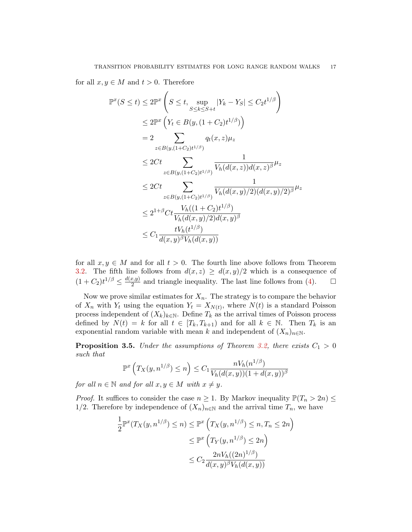for all  $x, y \in M$  and  $t > 0$ . Therefore

$$
\mathbb{P}^{x}(S \leq t) \leq 2\mathbb{P}^{x}\left(S \leq t, \sup_{S \leq k \leq S+t} |Y_{k} - Y_{S}| \leq C_{2}t^{1/\beta}\right)
$$
  
\n
$$
\leq 2\mathbb{P}^{x}\left(Y_{t} \in B(y, (1 + C_{2})t^{1/\beta})\right)
$$
  
\n
$$
= 2 \sum_{z \in B(y, (1+C_{2})t^{1/\beta})} q_{t}(x, z)\mu_{z}
$$
  
\n
$$
\leq 2Ct \sum_{z \in B(y, (1+C_{2})t^{1/\beta})} \frac{1}{V_{h}(d(x, z))d(x, z)^{\beta}}\mu_{z}
$$
  
\n
$$
\leq 2Ct \sum_{z \in B(y, (1+C_{2})t^{1/\beta})} \frac{1}{V_{h}(d(x, y)/2)(d(x, y)/2)^{\beta}}\mu_{z}
$$
  
\n
$$
\leq 2^{1+\beta}Ct \frac{V_{h}((1 + C_{2})t^{1/\beta})}{V_{h}(d(x, y)/2)d(x, y)^{\beta}}
$$
  
\n
$$
\leq C_{1} \frac{tV_{h}(t^{1/\beta})}{d(x, y)^{\beta}V_{h}(d(x, y))}
$$

for all  $x, y \in M$  and for all  $t > 0$ . The fourth line above follows from Theorem [3.2.](#page-12-2) The fifth line follows from  $d(x, z) \geq d(x, y)/2$  which is a consequence of  $(1+C_2)t^{1/\beta} \leq \frac{d(x,y)}{2}$  $\frac{(x,y)}{2}$  and triangle inequality. The last line follows from [\(4\)](#page-0-3).  $\Box$ 

Now we prove similar estimates for  $X_n$ . The strategy is to compare the behavior of  $X_n$  with  $Y_t$  using the equation  $Y_t = X_{N(t)}$ , where  $N(t)$  is a standard Poisson process independent of  $(X_k)_{k\in\mathbb{N}}$ . Define  $T_k$  as the arrival times of Poisson process defined by  $N(t) = k$  for all  $t \in [T_k, T_{k+1})$  and for all  $k \in \mathbb{N}$ . Then  $T_k$  is an exponential random variable with mean k and independent of  $(X_n)_{n\in\mathbb{N}}$ .

<span id="page-16-0"></span>**Proposition 3.5.** Under the assumptions of Theorem [3.2,](#page-12-2) there exists  $C_1 > 0$ such that

$$
\mathbb{P}^x\left(T_X(y, n^{1/\beta}) \le n\right) \le C_1 \frac{nV_h(n^{1/\beta})}{V_h(d(x, y))(1 + d(x, y))^\beta}
$$

for all  $n \in \mathbb{N}$  and for all  $x, y \in M$  with  $x \neq y$ .

*Proof.* It suffices to consider the case  $n \geq 1$ . By Markov inequality  $\mathbb{P}(T_n > 2n) \leq$ 1/2. Therefore by independence of  $(X_n)_{n\in\mathbb{N}}$  and the arrival time  $T_n$ , we have

$$
\frac{1}{2} \mathbb{P}^x(T_X(y, n^{1/\beta}) \le n) \le \mathbb{P}^x\left(T_X(y, n^{1/\beta}) \le n, T_n \le 2n\right)
$$

$$
\le \mathbb{P}^x\left(T_Y(y, n^{1/\beta}) \le 2n\right)
$$

$$
\le C_2 \frac{2nV_h((2n)^{1/\beta})}{d(x, y)^\beta V_h(d(x, y))}
$$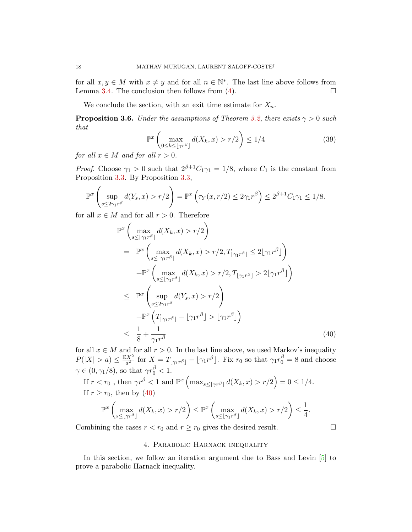for all  $x, y \in M$  with  $x \neq y$  and for all  $n \in \mathbb{N}^*$ . The last line above follows from Lemma [3.4.](#page-15-3) The conclusion then follows from  $(4)$ .

We conclude the section, with an exit time estimate for  $X_n$ .

<span id="page-17-3"></span>**Proposition 3.6.** Under the assumptions of Theorem [3.2,](#page-12-2) there exists  $\gamma > 0$  such that

<span id="page-17-2"></span>
$$
\mathbb{P}^x \left( \max_{0 \le k \le \lfloor \gamma r^\beta \rfloor} d(X_k, x) > r/2 \right) \le 1/4 \tag{39}
$$

for all  $x \in M$  and for all  $r > 0$ .

*Proof.* Choose  $\gamma_1 > 0$  such that  $2^{\beta+1}C_1\gamma_1 = 1/8$ , where  $C_1$  is the constant from Proposition [3.3.](#page-15-1) By Proposition [3.3,](#page-15-1)

$$
\mathbb{P}^x\left(\sup_{s\leq 2\gamma_1 r^{\beta}}d(Y_s,x)>r/2\right)=\mathbb{P}^x\left(\tau_Y(x,r/2)\leq 2\gamma_1 r^{\beta}\right)\leq 2^{\beta+1}C_1\gamma_1\leq 1/8.
$$

for all  $x \in M$  and for all  $r > 0$ . Therefore

<span id="page-17-1"></span>
$$
\mathbb{P}^{x}\left(\max_{s\leq\lfloor\gamma_{1}r^{\beta}\rfloor}d(X_{k},x)>r/2\right)
$$
\n
$$
=\mathbb{P}^{x}\left(\max_{s\leq\lfloor\gamma_{1}r^{\beta}\rfloor}d(X_{k},x)>r/2,T_{\lfloor\gamma_{1}r^{\beta}\rfloor}\leq 2\lfloor\gamma_{1}r^{\beta}\rfloor\right)
$$
\n
$$
+\mathbb{P}^{x}\left(\max_{s\leq\lfloor\gamma_{1}r^{\beta}\rfloor}d(X_{k},x)>r/2,T_{\lfloor\gamma_{1}r^{\beta}\rfloor}>2\lfloor\gamma_{1}r^{\beta}\rfloor\right)
$$
\n
$$
\leq \mathbb{P}^{x}\left(\sup_{s\leq 2\gamma_{1}r^{\beta}}d(Y_{s},x)>r/2\right)
$$
\n
$$
+\mathbb{P}^{x}\left(T_{\lfloor\gamma_{1}r^{\beta}\rfloor}-\lfloor\gamma_{1}r^{\beta}\rfloor>\lfloor\gamma_{1}r^{\beta}\rfloor\right)
$$
\n
$$
\leq \frac{1}{8}+\frac{1}{\gamma_{1}r^{\beta}} \tag{40}
$$

for all  $x \in M$  and for all  $r > 0$ . In the last line above, we used Markov's inequality  $P(|X| > a) \leq \frac{\mathbb{E}X^2}{a^2}$  $\frac{dX^2}{dt^2}$  for  $X = T_{\lfloor \gamma_1 r^{\beta} \rfloor} - \lfloor \gamma_1 r^{\beta} \rfloor$ . Fix  $r_0$  so that  $\gamma_1 r_0^{\beta} = 8$  and choose  $\gamma \in (0, \gamma_1/8)$ , so that  $\gamma r_0^{\beta} < 1$ . If  $r < r_0$ , then  $\gamma r^{\beta} < 1$  and  $\mathbb{P}^{x} \left( \max_{s \leq \lfloor \gamma r^{\beta} \rfloor} d(X_k, x) > r/2 \right) = 0 \leq 1/4$ . If  $r \ge r_0$ , then by [\(40\)](#page-17-1)  $\mathbb{P}^{x}\left(\max_{s\leq |\gamma r^{\beta}|}d(X_{k}, x)>r/2\right)\leq \mathbb{P}^{x}\left(\max_{s\leq |\gamma_1r^{\beta}|}\right)$  $\max_{s \leq \lfloor \gamma_1 r^{\beta} \rfloor} d(X_k, x) > r/2$   $\leq \frac{1}{4}$  $\frac{1}{4}$ .

Combining the cases  $r < r_0$  and  $r \ge r_0$  gives the desired result.

## 4. Parabolic Harnack inequality

<span id="page-17-0"></span>In this section, we follow an iteration argument due to Bass and Levin [\[5\]](#page-30-0) to prove a parabolic Harnack inequality.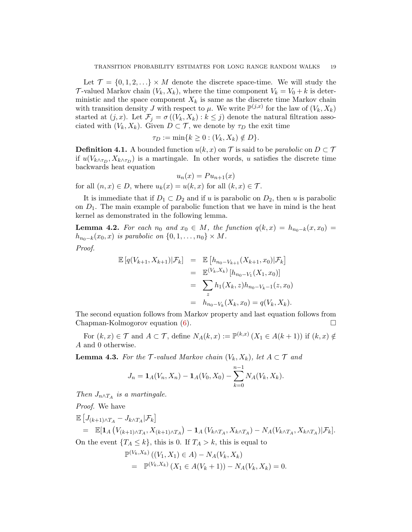Let  $\mathcal{T} = \{0, 1, 2, \ldots\} \times M$  denote the discrete space-time. We will study the T-valued Markov chain  $(V_k, X_k)$ , where the time component  $V_k = V_0 + k$  is deterministic and the space component  $X_k$  is same as the discrete time Markov chain with transition density J with respect to  $\mu$ . We write  $\mathbb{P}^{(j,x)}$  for the law of  $(V_k, X_k)$ started at  $(j, x)$ . Let  $\mathcal{F}_j = \sigma((V_k, X_k) : k \leq j)$  denote the natural filtration associated with  $(V_k, X_k)$ . Given  $D \subset \mathcal{T}$ , we denote by  $\tau_D$  the exit time

$$
\tau_D := \min\{k \ge 0 : (V_k, X_k) \notin D\}.
$$

**Definition 4.1.** A bounded function  $u(k, x)$  on T is said to be *parabolic* on  $D \subset T$ if  $u(V_{k \wedge \tau_D}, X_{k \wedge \tau_D})$  is a martingale. In other words, u satisfies the discrete time backwards heat equation

$$
u_n(x) = Pu_{n+1}(x)
$$
  
for all  $(n, x) \in D$ , where  $u_k(x) = u(k, x)$  for all  $(k, x) \in \mathcal{T}$ .

It is immediate that if  $D_1 \subset D_2$  and if u is parabolic on  $D_2$ , then u is parabolic on  $D_1$ . The main example of parabolic function that we have in mind is the heat kernel as demonstrated in the following lemma.

<span id="page-18-1"></span>**Lemma 4.2.** For each  $n_0$  and  $x_0 \in M$ , the function  $q(k, x) = h_{n_0-k}(x, x_0)$  $h_{n_0-k}(x_0, x)$  is parabolic on  $\{0, 1, \ldots, n_0\} \times M$ .

Proof.

$$
\mathbb{E}[q(V_{k+1}, X_{k+1}) | \mathcal{F}_k] = \mathbb{E}[h_{n_0 - V_{k+1}}(X_{k+1}, x_0) | \mathcal{F}_k]
$$
  
\n
$$
= \mathbb{E}^{(V_k, X_k)} [h_{n_0 - V_1}(X_1, x_0)]
$$
  
\n
$$
= \sum_z h_1(X_k, z) h_{n_0 - V_k - 1}(z, x_0)
$$
  
\n
$$
= h_{n_0 - V_k}(X_k, x_0) = q(V_k, X_k).
$$

The second equation follows from Markov property and last equation follows from Chapman-Kolmogorov equation [\(6\)](#page-1-2).

For  $(k, x) \in \mathcal{T}$  and  $A \subset \mathcal{T}$ , define  $N_A(k, x) := \mathbb{P}^{(k, x)} (X_1 \in A(k + 1))$  if  $(k, x) \notin$ A and 0 otherwise.

<span id="page-18-0"></span>**Lemma 4.3.** For the  $\mathcal{T}\text{-valued Markov chain } (V_k, X_k)$ , let  $A \subset \mathcal{T}$  and

$$
J_n = \mathbf{1}_A(V_n, X_n) - \mathbf{1}_A(V_0, X_0) - \sum_{k=0}^{n-1} N_A(V_k, X_k).
$$

Then  $J_{n \wedge T_A}$  is a martingale.

Proof. We have

$$
\mathbb{E}\left[J_{(k+1)\wedge T_A} - J_{k\wedge T_A}|\mathcal{F}_k\right]
$$
\n
$$
= \mathbb{E}[\mathbf{1}_A\left(V_{(k+1)\wedge T_A}, X_{(k+1)\wedge T_A}\right) - \mathbf{1}_A\left(V_{k\wedge T_A}, X_{k\wedge T_A}\right) - N_A\left(V_{k\wedge T_A}, X_{k\wedge T_A}\right)|\mathcal{F}_k].
$$
\nOn the event  $\{T_A \le k\}$ , this is 0. If  $T_A > k$ , this is equal to

$$
\mathbb{P}^{(V_k, X_k)}((V_1, X_1) \in A) - N_A(V_k, X_k)
$$
  
= 
$$
\mathbb{P}^{(V_k, X_k)}(X_1 \in A(V_k + 1)) - N_A(V_k, X_k) = 0.
$$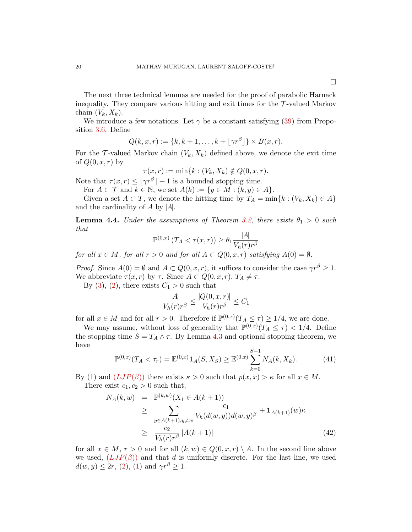The next three technical lemmas are needed for the proof of parabolic Harnack inequality. They compare various hitting and exit times for the  $\mathcal{T}$ -valued Markov chain  $(V_k, X_k)$ .

We introduce a few notations. Let  $\gamma$  be a constant satisfying [\(39\)](#page-17-2) from Proposition [3.6.](#page-17-3) Define

$$
Q(k, x, r) := \{k, k+1, \ldots, k + \lfloor \gamma r^{\beta} \rfloor\} \times B(x, r).
$$

For the T-valued Markov chain  $(V_k, X_k)$  defined above, we denote the exit time of  $Q(0, x, r)$  by

$$
\tau(x,r) := \min\{k : (V_k, X_k) \notin Q(0,x,r).
$$

Note that  $\tau(x,r) \leq |\gamma r^{\beta}| + 1$  is a bounded stopping time.

For  $A \subset \mathcal{T}$  and  $k \in \mathbb{N}$ , we set  $A(k) := \{y \in M : (k, y) \in A\}.$ 

Given a set  $A \subset T$ , we denote the hitting time by  $T_A = \min\{k : (V_k, X_k) \in A\}$ and the cardinality of  $A$  by  $|A|$ .

<span id="page-19-2"></span>**Lemma 4.4.** Under the assumptions of Theorem [3.2,](#page-12-2) there exists  $\theta_1 > 0$  such that

$$
\mathbb{P}^{(0,x)}\left(T_A < \tau(x,r)\right) \ge \theta_1 \frac{|A|}{V_h(r)r^{\beta}}
$$

for all  $x \in M$ , for all  $r > 0$  and for all  $A \subset Q(0, x, r)$  satisfying  $A(0) = \emptyset$ .

*Proof.* Since  $A(0) = \emptyset$  and  $A \subset Q(0, x, r)$ , it suffices to consider the case  $\gamma r^{\beta} \geq 1$ . We abbreviate  $\tau(x,r)$  by  $\tau$ . Since  $A \subset Q(0,x,r)$ ,  $T_A \neq \tau$ .

By [\(3\)](#page-0-2), [\(2\)](#page-0-0), there exists  $C_1 > 0$  such that

$$
\frac{|A|}{V_h(r)r^{\beta}} \le \frac{|Q(0, x, r)|}{V_h(r)r^{\beta}} \le C_1
$$

for all  $x \in M$  and for all  $r > 0$ . Therefore if  $\mathbb{P}^{(0,x)}(T_A \leq \tau) \geq 1/4$ , we are done.

We may assume, without loss of generality that  $\mathbb{P}^{(0,x)}(T_A \leq \tau) < 1/4$ . Define the stopping time  $S = T_A \wedge \tau$ . By Lemma [4.3](#page-18-0) and optional stopping theorem, we have

<span id="page-19-0"></span>
$$
\mathbb{P}^{(0,x)}(T_A < \tau_r) = \mathbb{E}^{(0,x)} \mathbf{1}_A(S, X_S) \ge \mathbb{E}^{(0,x)} \sum_{k=0}^{S-1} N_A(k, X_k). \tag{41}
$$

By [\(1\)](#page-0-1) and  $(LJP(\beta))$  $(LJP(\beta))$  $(LJP(\beta))$  there exists  $\kappa > 0$  such that  $p(x, x) > \kappa$  for all  $x \in M$ . There exist  $c_1, c_2 > 0$  such that,

<span id="page-19-1"></span>
$$
N_A(k, w) = \mathbb{P}^{(k, w)}(X_1 \in A(k+1))
$$
  
\n
$$
\geq \sum_{y \in A(k+1), y \neq w} \frac{c_1}{V_h(d(w, y))d(w, y)^{\beta}} + \mathbf{1}_{A(k+1)}(w)\kappa
$$
  
\n
$$
\geq \frac{c_2}{V_h(r)r^{\beta}} |A(k+1)| \tag{42}
$$

for all  $x \in M$ ,  $r > 0$  and for all  $(k, w) \in Q(0, x, r) \setminus A$ . In the second line above we used,  $(LJP(\beta))$  $(LJP(\beta))$  $(LJP(\beta))$  and that d is uniformly discrete. For the last line, we used  $d(w, y) \leq 2r$ , [\(2\)](#page-0-0), [\(1\)](#page-0-1) and  $\gamma r^{\beta} \geq 1$ .

 $\Box$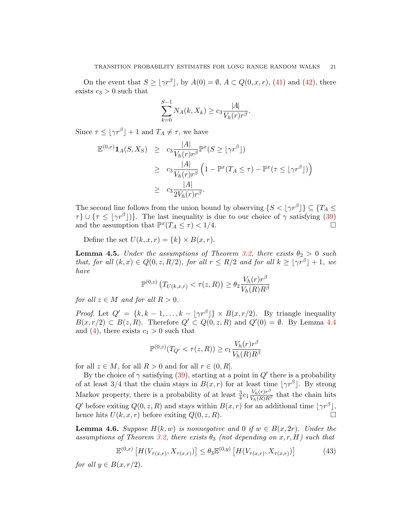On the event that  $S \ge |\gamma r^{\beta}|$ , by  $A(0) = \emptyset$ ,  $A \subset Q(0, x, r)$ , [\(41\)](#page-19-0) and [\(42\)](#page-19-1), there exists  $c_3 > 0$  such that

$$
\sum_{k=0}^{S-1} N_A(k, X_k) \ge c_3 \frac{|A|}{V_h(r)r^{\beta}}.
$$

Since  $\tau \leq \lfloor \gamma r^{\beta} \rfloor + 1$  and  $T_A \neq \tau$ , we have

$$
\mathbb{E}^{(0,x)}\mathbf{1}_A(S,X_S) \ge c_3 \frac{|A|}{V_h(r)r^{\beta}} \mathbb{P}^x(S \ge |\gamma r^{\beta}|)
$$
  
\n
$$
\ge c_3 \frac{|A|}{V_h(r)r^{\beta}} \left(1 - \mathbb{P}^x(T_A \le \tau) - \mathbb{P}^x(\tau \le |\gamma r^{\beta}|)\right)
$$
  
\n
$$
\ge c_3 \frac{|A|}{2V_h(r)r^{\beta}}.
$$

The second line follows from the union bound by observing  $\{S < \lfloor \gamma r^{\beta} \rfloor\} \subseteq \{T_A \leq \ell \}$  $\tau$ }  $\cup$  { $\tau \leq |\gamma r^{\beta}|$ }. The last inequality is due to our choice of  $\gamma$  satisfying [\(39\)](#page-17-2) and the assumption that  $\mathbb{P}^x(T_A \leq \tau) < 1/4$ .

Define the set  $U(k, x, r) = \{k\} \times B(x, r)$ .

<span id="page-20-1"></span>**Lemma 4.5.** Under the assumptions of Theorem [3.2,](#page-12-2) there exists  $\theta_2 > 0$  such that, for all  $(k, x) \in Q(0, z, R/2)$ , for all  $r \leq R/2$  and for all  $k \geq |\gamma r^{\beta}| + 1$ , we have

$$
\mathbb{P}^{(0,z)}\left(T_{U(k,x,r)} < \tau(z,R)\right) \ge \theta_2 \frac{V_h(r)r^{\beta}}{V_h(R)R^{\beta}}
$$

for all  $z \in M$  and for all  $R > 0$ .

*Proof.* Let  $Q' = \{k, k-1, ..., k - |\gamma r^{\beta}| \} \times B(x, r/2)$ . By triangle inequality  $B(x, r/2) \subset B(z, R)$ . Therefore  $Q' \subset Q(0, z, R)$  and  $Q'(0) = \emptyset$ . By Lemma [4.4](#page-19-2) and [\(4\)](#page-0-3), there exists  $c_1 > 0$  such that

$$
\mathbb{P}^{(0,z)}(T_{Q'} < \tau(z,R)) \ge c_1 \frac{V_h(r)r^{\beta}}{V_h(R)R^{\beta}}
$$

for all  $z \in M$ , for all  $R > 0$  and for all  $r \in (0, R]$ .

By the choice of  $\gamma$  satisfying [\(39\)](#page-17-2), starting at a point in  $Q'$  there is a probability of at least 3/4 that the chain stays in  $B(x,r)$  for at least time  $|\gamma r^{\beta}|$ . By strong Markov property, there is a probability of at least  $\frac{3}{4}c_1 \frac{V_h(r)r^{\beta}}{V_h(R)R^{\beta}}$  that the chain hits Q' before exiting  $Q(0, z, R)$  and stays within  $B(x, r)$  for an additional time  $|\gamma r^{\beta}|$ , hence hits  $U(k, x, r)$  before exiting  $Q(0, z, R)$ .

<span id="page-20-2"></span>**Lemma 4.6.** Suppose  $H(k, w)$  is nonnegative and 0 if  $w \in B(x, 2r)$ . Under the assumptions of Theorem [3.2,](#page-12-2) there exists  $\theta_3$  (not depending on  $x, r, H$ ) such that

<span id="page-20-0"></span>
$$
\mathbb{E}^{(0,x)}\left[H(V_{\tau(x,r)}, X_{\tau(x,r)})\right] \leq \theta_3 \mathbb{E}^{(0,y)}\left[H(V_{\tau(x,r)}, X_{\tau(x,r)})\right] \tag{43}
$$

for all  $y \in B(x, r/2)$ .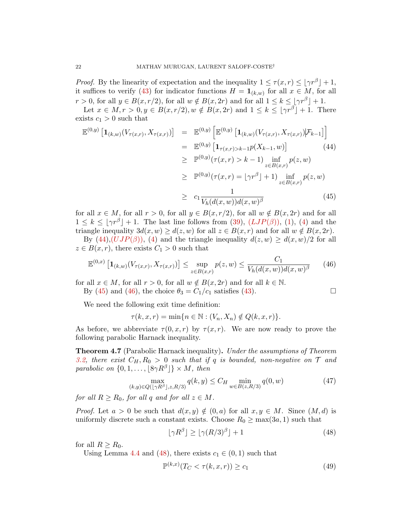*Proof.* By the linearity of expectation and the inequality  $1 \leq \tau(x,r) \leq |\gamma r^{\beta}| + 1$ , it suffices to verify [\(43\)](#page-20-0) for indicator functions  $H = \mathbf{1}_{(k,w)}$  for all  $x \in M$ , for all  $r > 0$ , for all  $y \in B(x, r/2)$ , for all  $w \notin B(x, 2r)$  and for all  $1 \leq k \leq |\gamma r^{\beta}| + 1$ .

Let  $x \in M, r > 0, y \in B(x, r/2), w \notin B(x, 2r)$  and  $1 \leq k \leq |\gamma r^{\beta}| + 1$ . There exists  $c_1 > 0$  such that

<span id="page-21-0"></span>
$$
\mathbb{E}^{(0,y)}\left[\mathbf{1}_{(k,w)}(V_{\tau(x,r)}, X_{\tau(x,r)})\right] = \mathbb{E}^{(0,y)}\left[\mathbb{E}^{(0,y)}\left[\mathbf{1}_{(k,w)}(V_{\tau(x,r)}, X_{\tau(x,r)})\big|\mathcal{F}_{k-1}\right]\right]
$$
\n
$$
= \mathbb{E}^{(0,y)}\left[\mathbf{1}_{\tau(x,r)>k-1}p(X_{k-1}, w)\right] \qquad (44)
$$
\n
$$
\geq \mathbb{P}^{(0,y)}(\tau(x,r) > k-1) \inf_{z \in B(x,r)} p(z, w)
$$
\n
$$
\geq \mathbb{P}^{(0,y)}(\tau(x,r) = \lfloor \gamma r^{\beta} \rfloor + 1) \inf_{z \in B(x,r)} p(z, w)
$$
\n
$$
\geq c_1 \frac{1}{V_h(d(x,w))d(x,w)^{\beta}} \qquad (45)
$$

for all  $x \in M$ , for all  $r > 0$ , for all  $y \in B(x, r/2)$ , for all  $w \notin B(x, 2r)$  and for all  $1 \leq k \leq |\gamma r^{\beta}| + 1$ . The last line follows from [\(39\)](#page-17-2),  $(LJP(\beta))$  $(LJP(\beta))$  $(LJP(\beta))$ , [\(1\)](#page-0-1), [\(4\)](#page-0-3) and the triangle inequality  $3d(x, w) \geq d(z, w)$  for all  $z \in B(x, r)$  and for all  $w \notin B(x, 2r)$ .

By  $(44),(UJP(\beta))$  $(44),(UJP(\beta))$  $(44),(UJP(\beta))$ , [\(4\)](#page-0-3) and the triangle inequality  $d(z, w) \geq d(x, w)/2$  for all  $z \in B(x,r)$ , there exists  $C_1 > 0$  such that

<span id="page-21-1"></span>
$$
\mathbb{E}^{(0,x)}\left[\mathbf{1}_{(k,w)}(V_{\tau(x,r)}, X_{\tau(x,r)})\right] \le \sup_{z \in B(x,r)} p(z,w) \le \frac{C_1}{V_h(d(x,w))d(x,w)^{\beta}} \tag{46}
$$

for all  $x \in M$ , for all  $r > 0$ , for all  $w \notin B(x, 2r)$  and for all  $k \in \mathbb{N}$ .

By [\(45\)](#page-21-0) and [\(46\)](#page-21-1), the choice  $\theta_3 = C_1/c_1$  satisfies [\(43\)](#page-20-0).

We need the following exit time definition:

 $\tau(k, x, r) = \min\{n \in \mathbb{N} : (V_n, X_n) \notin Q(k, x, r)\}.$ 

As before, we abbreviate  $\tau(0, x, r)$  by  $\tau(x, r)$ . We are now ready to prove the following parabolic Harnack inequality.

**Theorem 4.7** (Parabolic Harnack inequality). Under the assumptions of Theorem [3.2,](#page-12-2) there exist  $C_H$ ,  $R_0 > 0$  such that if q is bounded, non-negative on T and parabolic on  $\{0, 1, \ldots, \lfloor 8\gamma R^{\beta} \rfloor\} \times M$ , then

<span id="page-21-3"></span>
$$
\max_{(k,y)\in Q(\lfloor \gamma R^{\beta} \rfloor, z, R/3)} q(k,y) \le C_H \min_{w\in B(z,R/3)} q(0,w) \tag{47}
$$

for all  $R \ge R_0$ , for all q and for all  $z \in M$ .

*Proof.* Let  $a > 0$  be such that  $d(x, y) \notin (0, a)$  for all  $x, y \in M$ . Since  $(M, d)$  is uniformly discrete such a constant exists. Choose  $R_0 \ge \max(3a, 1)$  such that

<span id="page-21-2"></span>
$$
\lfloor \gamma R^{\beta} \rfloor \ge \lfloor \gamma (R/3)^{\beta} \rfloor + 1 \tag{48}
$$

for all  $R \geq R_0$ .

Using Lemma [4.4](#page-19-2) and [\(48\)](#page-21-2), there exists  $c_1 \in (0,1)$  such that

<span id="page-21-4"></span>
$$
\mathbb{P}^{(k,x)}(T_C < \tau(k,x,r)) \ge c_1 \tag{49}
$$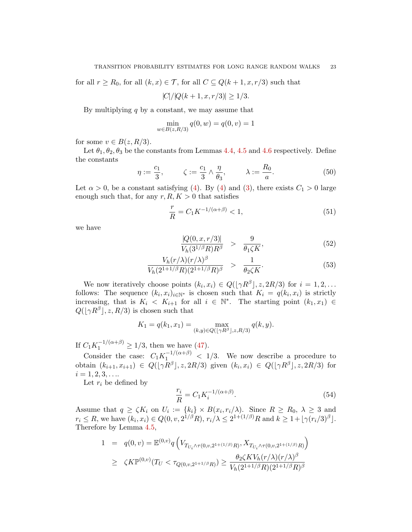for all  $r \ge R_0$ , for all  $(k, x) \in \mathcal{T}$ , for all  $C \subseteq Q(k+1, x, r/3)$  such that

$$
|C|/|Q(k+1, x, r/3)| \ge 1/3.
$$

By multiplying  $q$  by a constant, we may assume that

$$
\min_{w \in B(z, R/3)} q(0, w) = q(0, v) = 1
$$

for some  $v \in B(z, R/3)$ .

Let  $\theta_1, \theta_2, \theta_3$  be the constants from Lemmas [4.4,](#page-19-2) [4.5](#page-20-1) and [4.6](#page-20-2) respectively. Define the constants

<span id="page-22-1"></span>
$$
\eta := \frac{c_1}{3}, \qquad \zeta := \frac{c_1}{3} \wedge \frac{\eta}{\theta_3}, \qquad \lambda := \frac{R_0}{a}.
$$
 (50)

Let  $\alpha > 0$ , be a constant satisfying [\(4\)](#page-0-3). By (4) and [\(3\)](#page-0-2), there exists  $C_1 > 0$  large enough such that, for any  $r, R, K > 0$  that satisfies

$$
\frac{r}{R} = C_1 K^{-1/(\alpha + \beta)} < 1,\tag{51}
$$

we have

<span id="page-22-0"></span>
$$
\frac{|Q(0, x, r/3)|}{V_h(3^{1/\beta}R)R^{\beta}} > \frac{9}{\theta_1 \zeta K},
$$
\n(52)

$$
\frac{V_h(r/\lambda)(r/\lambda)^{\beta}}{V_h(2^{1+1/\beta}R)(2^{1+1/\beta}R)^{\beta}} > \frac{1}{\theta_2\zeta K}.
$$
\n(53)

We now iteratively choose points  $(k_i, x_i) \in Q([\gamma R^{\beta}], z, 2R/3)$  for  $i = 1, 2, ...$ follows: The sequence  $(k_i, x_i)_{i \in \mathbb{N}^*}$  is chosen such that  $K_i = q(k_i, x_i)$  is strictly increasing, that is  $K_i < K_{i+1}$  for all  $i \in \mathbb{N}^*$ . The starting point  $(k_1, x_1) \in$  $Q(|\gamma R^{\beta}|, z, R/3)$  is chosen such that

$$
K_1 = q(k_1, x_1) = \max_{(k,y) \in Q(\lfloor \gamma R^{\beta} \rfloor, z, R/3)} q(k, y).
$$

If  $C_1 K_1^{-1/(\alpha+\beta)} \ge 1/3$ , then we have [\(47\)](#page-21-3).

Consider the case:  $C_1 K_1^{-1/(\alpha+\beta)} < 1/3$ . We now describe a procedure to obtain  $(k_{i+1}, x_{i+1}) \in Q([\gamma R^{\beta}], z, 2R/3)$  given  $(k_i, x_i) \in Q([\gamma R^{\beta}], z, 2R/3)$  for  $i = 1, 2, 3, \ldots$ 

Let  $r_i$  be defined by

<span id="page-22-2"></span>
$$
\frac{r_i}{R} = C_1 K_i^{-1/(\alpha + \beta)}.
$$
\n(54)

Assume that  $q \ge \zeta K_i$  on  $U_i := \{k_i\} \times B(x_i, r_i/\lambda)$ . Since  $R \ge R_0, \lambda \ge 3$  and  $r_i \leq R$ , we have  $(k_i, x_i) \in Q(0, v, 2^{1/\beta}R), r_i/\lambda \leq 2^{1+(1/\beta)}R$  and  $k \geq 1 + \lfloor \gamma (r_i/3)^{\beta} \rfloor$ . Therefore by Lemma [4.5,](#page-20-1)

$$
1 = q(0, v) = \mathbb{E}^{(0, v)} q\left(V_{T_{U_i} \wedge \tau(0, v, 2^{1+(1/\beta)}R)}, X_{T_{U_i} \wedge \tau(0, v, 2^{1+(1/\beta)}R)}\right)
$$
  
\n
$$
\geq \zeta K \mathbb{P}^{(0, v)}(T_U < \tau_{Q(0, v, 2^{1+1/\beta}R)}) \geq \frac{\theta_2 \zeta K V_h(r/\lambda)(r/\lambda)^{\beta}}{V_h(2^{1+1/\beta}R)(2^{1+1/\beta}R)^{\beta}}
$$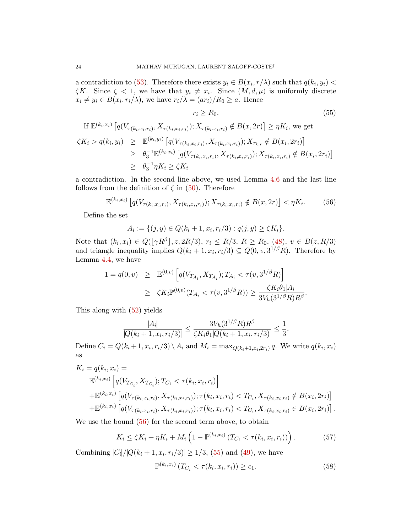a contradiction to [\(53\)](#page-22-0). Therefore there exists  $y_i \in B(x_i, r/\lambda)$  such that  $q(k_i, y_i)$  $\zeta K$ . Since  $\zeta < 1$ , we have that  $y_i \neq x_i$ . Since  $(M, d, \mu)$  is uniformly discrete  $x_i \neq y_i \in B(x_i, r_i/\lambda)$ , we have  $r_i/\lambda = (ar_i)/R_0 \geq a$ . Hence

<span id="page-23-1"></span>
$$
r_i \ge R_0. \tag{55}
$$

If 
$$
\mathbb{E}^{(k_i, x_i)} [q(V_{\tau(k_i, x_i, r_i)}, X_{\tau(k_i, x_i, r_i)}); X_{\tau(k_i, x_i, r_i)} \notin B(x, 2r)] \ge \eta K_i
$$
, we get  
\n $\zeta K_i > q(k_i, y_i) \ge \mathbb{E}^{(k_i, y_i)} [q(V_{\tau(k_i, x_i, r_i)}, X_{\tau(k_i, x_i, r_i)}); X_{\tau_{k,r}} \notin B(x_i, 2r_i)]$   
\n $\ge \theta_3^{-1} \mathbb{E}^{(k_i, x_i)} [q(V_{\tau(k_i, x_i, r_i)}, X_{\tau(k_i, x_i, r_i)}); X_{\tau(k_i, x_i, r_i)} \notin B(x_i, 2r_i)]$   
\n $\ge \theta_3^{-1} \eta K_i \ge \zeta K_i$ 

a contradiction. In the second line above, we used Lemma [4.6](#page-20-2) and the last line follows from the definition of  $\zeta$  in [\(50\)](#page-22-1). Therefore

<span id="page-23-0"></span>
$$
\mathbb{E}^{(k_i, x_i)} \left[ q(V_{\tau(k_i, x_i, r_i)}, X_{\tau(k_i, x_i, r_i)}) ; X_{\tau(k_i, x_i, r_i)} \notin B(x, 2r) \right] < \eta K_i. \tag{56}
$$

Define the set

$$
A_i := \{ (j, y) \in Q(k_i + 1, x_i, r_i/3) : q(j, y) \ge \zeta K_i \}.
$$

Note that  $(k_i, x_i) \in Q([\gamma R^{\beta}], z, 2R/3), r_i \leq R/3, R \geq R_0, (48), v \in B(z, R/3)$  $(k_i, x_i) \in Q([\gamma R^{\beta}], z, 2R/3), r_i \leq R/3, R \geq R_0, (48), v \in B(z, R/3)$  $(k_i, x_i) \in Q([\gamma R^{\beta}], z, 2R/3), r_i \leq R/3, R \geq R_0, (48), v \in B(z, R/3)$ and triangle inequality implies  $Q(k_i + 1, x_i, r_i/3) \subseteq Q(0, v, 3^{1/\beta}R)$ . Therefore by Lemma [4.4,](#page-19-2) we have

$$
\begin{array}{rcl} 1 = q(0, v) & \geq & \mathbb{E}^{(0, v)} \left[ q(V_{T_{A_i}}, X_{T_{A_i}}); T_{A_i} < \tau(v, 3^{1/\beta} R) \right] \\ & \geq & \zeta K_i \mathbb{P}^{(0, v)}(T_{A_i} < \tau(v, 3^{1/\beta} R)) \geq \frac{\zeta K_i \theta_1 |A_i|}{3V_h (3^{1/\beta} R) R^{\beta}}. \end{array}
$$

This along with [\(52\)](#page-22-0) yields

$$
\frac{|A_i|}{|Q(k_i+1, x_i, r_i/3)|} \le \frac{3V_h(3^{1/\beta}R)R^{\beta}}{\zeta K_i \theta_1 |Q(k_i+1, x_i, r_i/3)|} \le \frac{1}{3}.
$$

Define  $C_i = Q(k_i + 1, x_i, r_i/3) \setminus A_i$  and  $M_i = \max_{Q(k_i + 1, x_i, 2r_i)} q$ . We write  $q(k_i, x_i)$ as

$$
K_{i} = q(k_{i}, x_{i}) =
$$
  
\n
$$
\mathbb{E}^{(k_{i}, x_{i})} \left[ q(V_{T_{C_{i}}}, X_{T_{C_{i}}}); T_{C_{i}} < \tau(k_{i}, x_{i}, r_{i}) \right]
$$
  
\n
$$
+ \mathbb{E}^{(k_{i}, x_{i})} \left[ q(V_{\tau(k_{i}, x_{i}, r_{i})}, X_{\tau(k_{i}, x_{i}, r_{i})}); \tau(k_{i}, x_{i}, r_{i}) < T_{C_{i}}, X_{\tau(k_{i}, x_{i}, r_{i})} \notin B(x_{i}, 2r_{i}) \right]
$$
  
\n
$$
+ \mathbb{E}^{(k_{i}, x_{i})} \left[ q(V_{\tau(k_{i}, x_{i}, r_{i})}, X_{\tau(k_{i}, x_{i}, r_{i})}); \tau(k_{i}, x_{i}, r_{i}) < T_{C_{i}}, X_{\tau(k_{i}, x_{i}, r_{i})} \in B(x_{i}, 2r_{i}) \right].
$$

We use the bound  $(56)$  for the second term above, to obtain

<span id="page-23-2"></span>
$$
K_i \le \zeta K_i + \eta K_i + M_i \left( 1 - \mathbb{P}^{(k_i, x_i)} \left( T_{C_i} < \tau(k_i, x_i, r_i) \right) \right). \tag{57}
$$

Combining  $|C_i|/|Q(k_i + 1, x_i, r_i/3)| \ge 1/3$ , [\(55\)](#page-23-1) and [\(49\)](#page-21-4), we have

<span id="page-23-3"></span>
$$
\mathbb{P}^{(k_i, x_i)} (T_{C_i} < \tau(k_i, x_i, r_i)) \ge c_1. \tag{58}
$$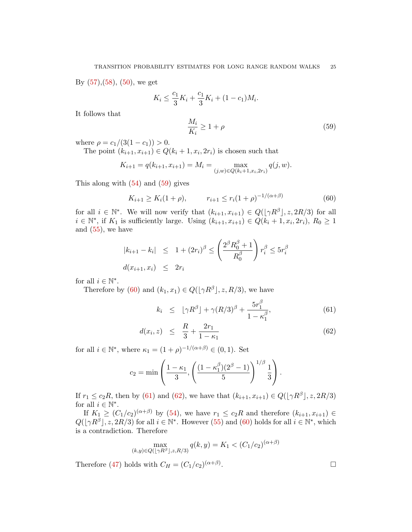By [\(57\)](#page-23-2),[\(58\)](#page-23-3), [\(50\)](#page-22-1), we get

$$
K_i \le \frac{c_1}{3} K_i + \frac{c_1}{3} K_i + (1 - c_1) M_i.
$$

It follows that

<span id="page-24-0"></span>
$$
\frac{M_i}{K_i} \ge 1 + \rho \tag{59}
$$

where  $\rho = c_1/(3(1-c_1)) > 0$ .

The point  $(k_{i+1}, x_{i+1}) \in Q(k_i + 1, x_i, 2r_i)$  is chosen such that

$$
K_{i+1} = q(k_{i+1}, x_{i+1}) = M_i = \max_{(j,w) \in Q(k_i+1, x_i, 2r_i)} q(j, w).
$$

This along with  $(54)$  and  $(59)$  gives

<span id="page-24-1"></span>
$$
K_{i+1} \ge K_i(1+\rho), \qquad r_{i+1} \le r_i(1+\rho)^{-1/(\alpha+\beta)} \tag{60}
$$

for all  $i \in \mathbb{N}^*$ . We will now verify that  $(k_{i+1}, x_{i+1}) \in Q([\gamma R^{\beta}], z, 2R/3)$  for all  $i \in \mathbb{N}^*$ , if  $K_1$  is sufficiently large. Using  $(k_{i+1}, x_{i+1}) \in Q(k_i + 1, x_i, 2r_i)$ ,  $R_0 \geq 1$ and  $(55)$ , we have

$$
|k_{i+1} - k_i| \leq 1 + (2r_i)^{\beta} \leq \left(\frac{2^{\beta} R_0^{\beta} + 1}{R_0^{\beta}}\right) r_i^{\beta} \leq 5r_i^{\beta}
$$
  

$$
d(x_{i+1}, x_i) \leq 2r_i
$$

for all  $i \in \mathbb{N}^*$ .

Therefore by [\(60\)](#page-24-1) and  $(k_1, x_1) \in Q(\lfloor \gamma R^{\beta} \rfloor, z, R/3)$ , we have

<span id="page-24-2"></span>
$$
k_i \leq \lfloor \gamma R^{\beta} \rfloor + \gamma (R/3)^{\beta} + \frac{5r_1^{\beta}}{1 - \kappa_1^{\beta}}, \tag{61}
$$

$$
d(x_i, z) \leq \frac{R}{3} + \frac{2r_1}{1 - \kappa_1} \tag{62}
$$

for all  $i \in \mathbb{N}^*$ , where  $\kappa_1 = (1+\rho)^{-1/(\alpha+\beta)} \in (0,1)$ . Set

$$
c_2 = \min\left(\frac{1 - \kappa_1}{3}, \left(\frac{(1 - \kappa_1^{\beta})(2^{\beta} - 1)}{5}\right)^{1/\beta} \frac{1}{3}\right).
$$

If  $r_1 \leq c_2 R$ , then by [\(61\)](#page-24-2) and [\(62\)](#page-24-2), we have that  $(k_{i+1}, x_{i+1}) \in Q(\lfloor \gamma R^{\beta} \rfloor, z, 2R/3)$ for all  $i \in \mathbb{N}^*$ .

If  $K_1 \ge (C_1/c_2)^{(\alpha+\beta)}$  by [\(54\)](#page-22-2), we have  $r_1 \le c_2R$  and therefore  $(k_{i+1}, x_{i+1}) \in$  $Q(|\gamma R^{\beta}|, z, 2R/3)$  for all  $i \in \mathbb{N}^*$ . However [\(55\)](#page-23-1) and [\(60\)](#page-24-1) holds for all  $i \in \mathbb{N}^*$ , which is a contradiction. Therefore

$$
\max_{(k,y)\in Q(\lfloor \gamma R^{\beta} \rfloor, z, R/3)} q(k,y) = K_1 < (C_1/c_2)^{(\alpha+\beta)}
$$

Therefore [\(47\)](#page-21-3) holds with  $C_H = (C_1/c_2)^{(\alpha+\beta)}$ 

. — Первый процесс в серверності процесс в серверності процесс в серверності процесс в серверності процесс в с<br>Первої в серверності процесс в серверності процесс в серверності процесс в серверності процесс в серверності п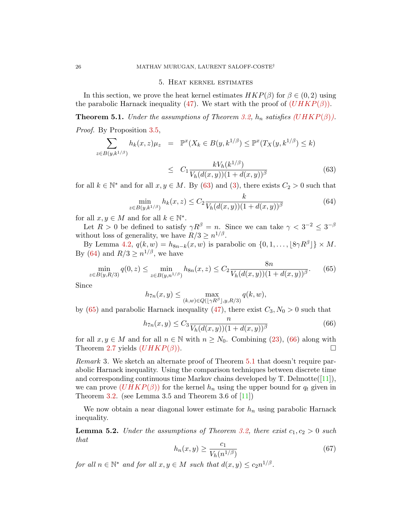#### 5. Heat kernel estimates

In this section, we prove the heat kernel estimates  $HKP(\beta)$  for  $\beta \in (0, 2)$  using the parabolic Harnack inequality [\(47\)](#page-21-3). We start with the proof of  $(UHKP(\beta))$  $(UHKP(\beta))$  $(UHKP(\beta))$ .

<span id="page-25-5"></span>**Theorem 5.1.** Under the assumptions of Theorem [3.2,](#page-12-2)  $h_n$  satisfies ([UHKP](#page-2-0)( $\beta$ )). Proof. By Proposition [3.5,](#page-16-0)

<span id="page-25-1"></span>
$$
\sum_{z \in B(y,k^{1/\beta})} h_k(x,z)\mu_z = \mathbb{P}^x(X_k \in B(y,k^{1/\beta}) \le \mathbb{P}^x(T_X(y,k^{1/\beta}) \le k)
$$
  

$$
\le C_1 \frac{kV_h(k^{1/\beta})}{V_h(d(x,y))(1+d(x,y))^{\beta}}
$$
(63)

for all  $k \in \mathbb{N}^*$  and for all  $x, y \in M$ . By [\(63\)](#page-25-1) and [\(3\)](#page-0-2), there exists  $C_2 > 0$  such that

<span id="page-25-2"></span>
$$
\min_{z \in B(y,k^{1/\beta})} h_k(x,z) \le C_2 \frac{k}{V_h(d(x,y))(1+d(x,y))^{\beta}}
$$
(64)

for all  $x, y \in M$  and for all  $k \in \mathbb{N}^*$ .

Let  $R > 0$  be defined to satisfy  $\gamma R^{\beta} = n$ . Since we can take  $\gamma < 3^{-2} \leq 3^{-\beta}$ without loss of generality, we have  $R/3 \geq n^{1/\beta}$ .

By Lemma [4.2,](#page-18-1)  $q(k, w) = h_{8n-k}(x, w)$  is parabolic on  $\{0, 1, \ldots, \lfloor 8\gamma R^{\beta} \rfloor\} \times M$ . By [\(64\)](#page-25-2) and  $R/3 \geq n^{1/\beta}$ , we have

<span id="page-25-3"></span>
$$
\min_{z \in B(y,R/3)} q(0,z) \le \min_{z \in B(y,n^{1/\beta})} h_{8n}(x,z) \le C_2 \frac{8n}{V_h(d(x,y))(1+d(x,y))^{\beta}}.\tag{65}
$$

Since

$$
h_{7n}(x,y) \le \max_{(k,w)\in Q(\lfloor \gamma R^{\beta} \rfloor, y, R/3)} q(k,w),
$$

by [\(65\)](#page-25-3) and parabolic Harnack inequality [\(47\)](#page-21-3), there exist  $C_3$ ,  $N_0 > 0$  such that

<span id="page-25-4"></span>
$$
h_{7n}(x,y) \le C_3 \frac{n}{V_h(d(x,y))(1+d(x,y))^{\beta}}
$$
(66)

for all  $x, y \in M$  and for all  $n \in \mathbb{N}$  with  $n \geq N_0$ . Combining [\(23\)](#page-10-0), [\(66\)](#page-25-4) along with Theorem [2.7](#page-10-4) yields  $(UHKP(\beta)).$  $(UHKP(\beta)).$  $(UHKP(\beta)).$ 

Remark 3. We sketch an alternate proof of Theorem [5.1](#page-25-5) that doesn't require parabolic Harnack inequality. Using the comparison techniques between discrete time and corresponding continuous time Markov chains developed by  $T$ . Delmotte $([11]),$  $([11]),$  $([11]),$ we can prove  $(UHKP(\beta))$  $(UHKP(\beta))$  $(UHKP(\beta))$  for the kernel  $h_n$  using the upper bound for  $q_t$  given in Theorem [3.2.](#page-12-2) (see Lemma 3.5 and Theorem 3.6 of  $[11]$ )

We now obtain a near diagonal lower estimate for  $h_n$  using parabolic Harnack inequality.

<span id="page-25-7"></span>**Lemma 5.2.** Under the assumptions of Theorem [3.2,](#page-12-2) there exist  $c_1, c_2 > 0$  such that

<span id="page-25-6"></span>
$$
h_n(x,y) \ge \frac{c_1}{V_h(n^{1/\beta})} \tag{67}
$$

for all  $n \in \mathbb{N}^*$  and for all  $x, y \in M$  such that  $d(x, y) \le c_2 n^{1/\beta}$ .

<span id="page-25-0"></span>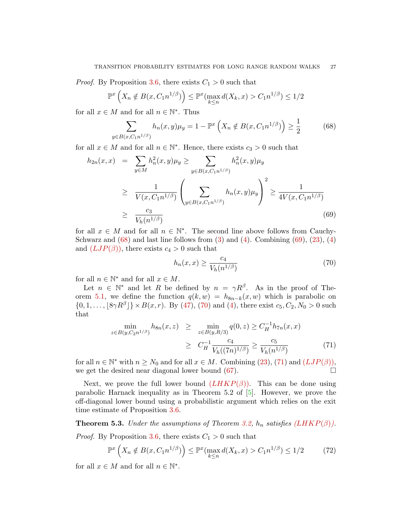*Proof.* By Proposition [3.6,](#page-17-3) there exists  $C_1 > 0$  such that

$$
\mathbb{P}^x\left(X_n \notin B(x, C_1 n^{1/\beta})\right) \le \mathbb{P}^x(\max_{k \le n} d(X_k, x) > C_1 n^{1/\beta}) \le 1/2
$$

for all  $x \in M$  and for all  $n \in \mathbb{N}^*$ . Thus

<span id="page-26-0"></span>
$$
\sum_{y \in B(x, C_1 n^{1/\beta})} h_n(x, y) \mu_y = 1 - \mathbb{P}^x \left( X_n \notin B(x, C_1 n^{1/\beta}) \right) \ge \frac{1}{2}
$$
(68)

for all  $x \in M$  and for all  $n \in \mathbb{N}^*$ . Hence, there exists  $c_3 > 0$  such that

<span id="page-26-1"></span>
$$
h_{2n}(x,x) = \sum_{y \in M} h_n^2(x,y)\mu_y \ge \sum_{y \in B(x,C_1n^{1/\beta})} h_n^2(x,y)\mu_y
$$
  
\n
$$
\ge \frac{1}{V(x,C_1n^{1/\beta})} \left(\sum_{y \in B(x,C_1n^{1/\beta})} h_n(x,y)\mu_y\right)^2 \ge \frac{1}{4V(x,C_1n^{1/\beta})}
$$
  
\n
$$
\ge \frac{c_3}{V_h(n^{1/\beta})}
$$
\n(69)

for all  $x \in M$  and for all  $n \in \mathbb{N}^*$ . The second line above follows from Cauchy-Schwarz and  $(68)$  and last line follows from  $(3)$  and  $(4)$ . Combining  $(69)$ ,  $(23)$ ,  $(4)$ and  $(LJP(\beta))$  $(LJP(\beta))$  $(LJP(\beta))$ , there exists  $c_4 > 0$  such that

<span id="page-26-2"></span>
$$
h_n(x,x) \ge \frac{c_4}{V_h(n^{1/\beta})} \tag{70}
$$

for all  $n \in \mathbb{N}^*$  and for all  $x \in M$ .

Let  $n \in \mathbb{N}^*$  and let R be defined by  $n = \gamma R^{\beta}$ . As in the proof of The-orem [5.1,](#page-25-5) we define the function  $q(k, w) = h_{8n-k}(x, w)$  which is parabolic on  $\{0, 1, \ldots, \lfloor 8\gamma R^{\beta} \rfloor\} \times B(x, r)$ . By [\(47\)](#page-21-3), [\(70\)](#page-26-2) and [\(4\)](#page-0-3), there exist  $c_5, C_2, N_0 > 0$  such that

<span id="page-26-3"></span>
$$
\min_{z \in B(y, C_2 n^{1/\beta})} h_{8n}(x, z) \geq \min_{z \in B(y, R/3)} q(0, z) \geq C_H^{-1} h_{7n}(x, x)
$$
\n
$$
\geq C_H^{-1} \frac{c_4}{V_h((7n)^{1/\beta})} \geq \frac{c_5}{V_h(n^{1/\beta})}
$$
\n(71)

for all  $n \in \mathbb{N}^*$  with  $n \geq N_0$  and for all  $x \in M$ . Combining  $(23)$ ,  $(71)$  and  $(LJP(\beta))$  $(LJP(\beta))$  $(LJP(\beta))$ , we get the desired near diagonal lower bound  $(67)$ .

Next, we prove the full lower bound  $(LHKP(\beta))$  $(LHKP(\beta))$  $(LHKP(\beta))$ . This can be done using parabolic Harnack inequality as in Theorem 5.2 of [\[5\]](#page-30-0). However, we prove the off-diagonal lower bound using a probabilistic argument which relies on the exit time estimate of Proposition [3.6.](#page-17-3)

<span id="page-26-5"></span>**Theorem 5.3.** Under the assumptions of Theorem [3.2,](#page-12-2)  $h_n$  satisfies ([LHKP](#page-2-1)( $\beta$ )). *Proof.* By Proposition [3.6,](#page-17-3) there exists  $C_1 > 0$  such that

<span id="page-26-4"></span>
$$
\mathbb{P}^x\left(X_n \notin B(x, C_1 n^{1/\beta})\right) \le \mathbb{P}^x(\max_{k \le n} d(X_k, x) > C_1 n^{1/\beta}) \le 1/2\tag{72}
$$

for all  $x \in M$  and for all  $n \in \mathbb{N}^*$ .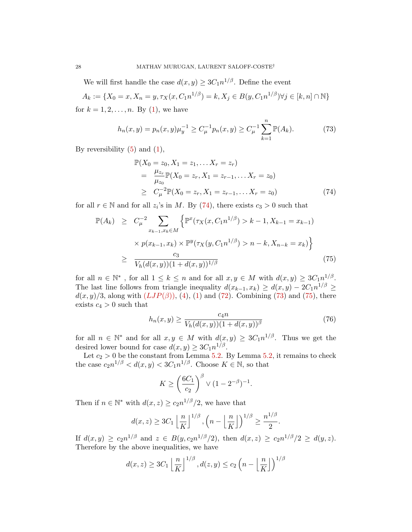We will first handle the case  $d(x, y) \geq 3C_1 n^{1/\beta}$ . Define the event

$$
A_k := \{ X_0 = x, X_n = y, \tau_X(x, C_1 n^{1/\beta}) = k, X_j \in B(y, C_1 n^{1/\beta}) \forall j \in [k, n] \cap \mathbb{N} \}
$$
  
for  $k = 1, 2, ..., n$ . By (1), we have

<span id="page-27-1"></span>
$$
h_n(x,y) = p_n(x,y)\mu_y^{-1} \ge C_\mu^{-1} p_n(x,y) \ge C_\mu^{-1} \sum_{k=1}^n \mathbb{P}(A_k).
$$
 (73)

By reversibility  $(5)$  and  $(1)$ ,

<span id="page-27-0"></span>
$$
\mathbb{P}(X_0 = z_0, X_1 = z_1, \dots X_r = z_r)
$$
\n
$$
= \frac{\mu_{z_r}}{\mu_{z_0}} \mathbb{P}(X_0 = z_r, X_1 = z_{r-1}, \dots X_r = z_0)
$$
\n
$$
\geq C_{\mu}^{-2} \mathbb{P}(X_0 = z_r, X_1 = z_{r-1}, \dots X_r = z_0)
$$
\n(74)

for all  $r \in \mathbb{N}$  and for all  $z_i$ 's in M. By [\(74\)](#page-27-0), there exists  $c_3 > 0$  such that

<span id="page-27-2"></span>
$$
\mathbb{P}(A_k) \ge C_{\mu}^{-2} \sum_{x_{k-1}, x_k \in M} \left\{ \mathbb{P}^x(\tau_X(x, C_1 n^{1/\beta}) > k - 1, X_{k-1} = x_{k-1}) \times p(x_{k-1}, x_k) \times \mathbb{P}^y(\tau_X(y, C_1 n^{1/\beta}) > n - k, X_{n-k} = x_k) \right\}
$$
\n
$$
\ge \frac{c_3}{V_h(d(x, y))(1 + d(x, y))^{1/\beta}} \tag{75}
$$

for all  $n \in \mathbb{N}^*$ , for all  $1 \leq k \leq n$  and for all  $x, y \in M$  with  $d(x, y) \geq 3C_1 n^{1/\beta}$ . The last line follows from triangle inequality  $d(x_{k-1}, x_k) \ge d(x, y) - 2C_1 n^{1/\beta} \ge$  $d(x, y)/3$ , along with  $(LJP(\beta))$  $(LJP(\beta))$  $(LJP(\beta))$ , [\(4\)](#page-0-3), [\(1\)](#page-0-1) and [\(72\)](#page-26-4). Combining [\(73\)](#page-27-1) and [\(75\)](#page-27-2), there exists  $c_4 > 0$  such that

<span id="page-27-3"></span>
$$
h_n(x,y) \ge \frac{c_4 n}{V_h(d(x,y))(1 + d(x,y))^{\beta}}
$$
(76)

for all  $n \in \mathbb{N}^*$  and for all  $x, y \in M$  with  $d(x, y) \geq 3C_1 n^{1/\beta}$ . Thus we get the desired lower bound for case  $d(x, y) \geq 3C_1 n^{1/\beta}$ .

Let  $c_2 > 0$  be the constant from Lemma [5.2.](#page-25-7) By Lemma [5.2,](#page-25-7) it remains to check the case  $c_2 n^{1/\beta} < d(x, y) < 3C_1 n^{1/\beta}$ . Choose  $K \in \mathbb{N}$ , so that

$$
K \ge \left(\frac{6C_1}{c_2}\right)^{\beta} \vee (1 - 2^{-\beta})^{-1}.
$$

Then if  $n \in \mathbb{N}^*$  with  $d(x, z) \ge c_2 n^{1/\beta}/2$ , we have that

$$
d(x, z) \ge 3C_1 \left\lfloor \frac{n}{K} \right\rfloor^{1/\beta}, \left( n - \left\lfloor \frac{n}{K} \right\rfloor \right)^{1/\beta} \ge \frac{n^{1/\beta}}{2}.
$$

If  $d(x,y) \ge c_2 n^{1/\beta}$  and  $z \in B(y, c_2 n^{1/\beta}/2)$ , then  $d(x,z) \ge c_2 n^{1/\beta}/2 \ge d(y,z)$ . Therefore by the above inequalities, we have

$$
d(x, z) \ge 3C_1 \left\lfloor \frac{n}{K} \right\rfloor^{1/\beta}, d(z, y) \le c_2 \left( n - \left\lfloor \frac{n}{K} \right\rfloor \right)^{1/\beta}
$$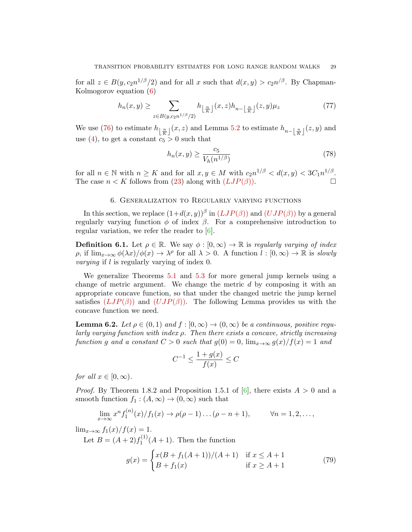for all  $z \in B(y, c_2 n^{1/\beta}/2)$  and for all x such that  $d(x, y) > c_2 n^{/\beta}$ . By Chapman-Kolmogorov equation [\(6\)](#page-1-2)

$$
h_n(x,y) \ge \sum_{z \in B(y,c_2 n^{1/\beta}/2)} h_{\lfloor \frac{n}{K} \rfloor}(x,z) h_{n-\lfloor \frac{n}{K} \rfloor}(z,y) \mu_z \tag{77}
$$

We use [\(76\)](#page-27-3) to estimate  $h_{\lfloor \frac{n}{K} \rfloor}(x, z)$  and Lemma [5.2](#page-25-7) to estimate  $h_{n-\lfloor \frac{n}{K} \rfloor}(z, y)$  and use [\(4\)](#page-0-3), to get a constant  $c_5 > 0$  such that

$$
h_n(x,y) \ge \frac{c_5}{V_h(n^{1/\beta})} \tag{78}
$$

for all  $n \in \mathbb{N}$  with  $n \geq K$  and for all  $x, y \in M$  with  $c_2 n^{1/\beta} < d(x, y) < 3C_1 n^{1/\beta}$ . The case  $n < K$  follows from [\(23\)](#page-10-0) along with  $(LJP(\beta))$  $(LJP(\beta))$  $(LJP(\beta))$ .

### 6. Generalization to Regularly varying functions

<span id="page-28-0"></span>In this section, we replace  $(1+d(x,y))^{\beta}$  in  $(LJP(\beta))$  $(LJP(\beta))$  $(LJP(\beta))$  and  $(UJP(\beta))$  $(UJP(\beta))$  $(UJP(\beta))$  by a general regularly varying function  $\phi$  of index  $\beta$ . For a comprehensive introduction to regular variation, we refer the reader to [\[6\]](#page-30-13).

**Definition 6.1.** Let  $\rho \in \mathbb{R}$ . We say  $\phi : [0, \infty) \to \mathbb{R}$  is regularly varying of index p, if  $\lim_{x\to\infty}\phi(\lambda x)/\phi(x)\to\lambda^{\rho}$  for all  $\lambda>0$ . A function  $l:[0,\infty)\to\mathbb{R}$  is slowly varying if l is regularly varying of index 0.

We generalize Theorems [5.1](#page-25-5) and [5.3](#page-26-5) for more general jump kernels using a change of metric argument. We change the metric d by composing it with an appropriate concave function, so that under the changed metric the jump kernel satisfies  $(LJP(\beta))$  $(LJP(\beta))$  $(LJP(\beta))$  and  $(UJP(\beta))$  $(UJP(\beta))$  $(UJP(\beta))$ . The following Lemma provides us with the concave function we need.

<span id="page-28-1"></span>**Lemma 6.2.** Let  $\rho \in (0,1)$  and  $f : [0,\infty) \to (0,\infty)$  be a continuous, positive regularly varying function with index  $\rho$ . Then there exists a concave, strictly increasing function g and a constant  $C > 0$  such that  $g(0) = 0$ ,  $\lim_{x \to \infty} g(x)/f(x) = 1$  and

$$
C^{-1} \le \frac{1 + g(x)}{f(x)} \le C
$$

for all  $x \in [0, \infty)$ .

*Proof.* By Theorem 1.8.2 and Proposition 1.5.1 of  $[6]$ , there exists  $A > 0$  and a smooth function  $f_1$ :  $(A, \infty) \to (0, \infty)$  such that

$$
\lim_{x \to \infty} x^n f_1^{(n)}(x) / f_1(x) \to \rho(\rho - 1) \dots (\rho - n + 1), \qquad \forall n = 1, 2, \dots,
$$

 $\lim_{x\to\infty} f_1(x)/f(x) = 1.$ 

Let  $B = (A+2)f_1^{(1)}$  $\binom{1}{1}(A+1)$ . Then the function

$$
g(x) = \begin{cases} x(B + f_1(A+1))/(A+1) & \text{if } x \le A+1\\ B + f_1(x) & \text{if } x \ge A+1 \end{cases}
$$
(79)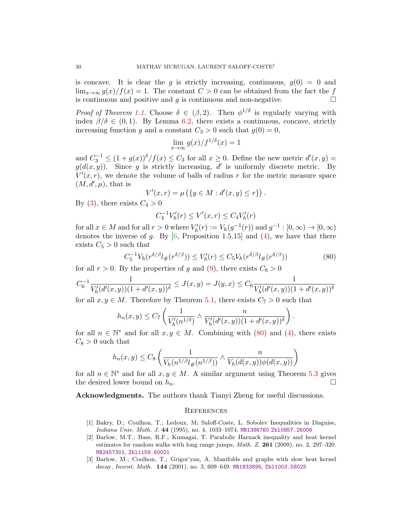is concave. It is clear the g is strictly increasing, continuous,  $g(0) = 0$  and  $\lim_{x\to\infty} g(x)/f(x) = 1$ . The constant  $C > 0$  can be obtained from the fact the f is continuous and positive and g is continuous and non-negative.  $\Box$ 

*Proof of Theorem [1.1.](#page-2-2)* Choose  $\delta \in (\beta, 2)$ . Then  $\phi^{1/\delta}$  is regularly varying with index  $\beta/\delta \in (0,1)$ . By Lemma [6.2,](#page-28-1) there exists a continuous, concave, strictly increasing function g and a constant  $C_3 > 0$  such that  $g(0) = 0$ ,

$$
\lim_{x \to \infty} g(x)/f^{1/\delta}(x) = 1
$$

and  $C_3^{-1} \leq (1+g(x))^{\delta}/f(x) \leq C_3$  for all  $x \geq 0$ . Define the new metric  $d'(x, y) =$  $g(d(x, y))$ . Since g is strictly increasing, d' is uniformly discrete metric. By  $V'(x,r)$ , we denote the volume of balls of radius r for the metric measure space  $(M, d', \mu)$ , that is

$$
V'(x,r) = \mu \left( \{ y \in M : d'(x,y) \le r \} \right)
$$

By [\(3\)](#page-0-2), there exists  $C_4 > 0$ 

$$
C_4^{-1}V'_h(r) \le V'(x,r) \le C_4V'_h(r)
$$

for all  $x \in M$  and for all  $r > 0$  where  $V'_h(r) := V_h(g^{-1}(r))$  and  $g^{-1} : [0, \infty) \to [0, \infty)$ denotes the inverse of g. By  $[6,$  Proposition 1.5.15] and [\(4\)](#page-0-3), we have that there exists  $C_5 > 0$  such that

<span id="page-29-3"></span>
$$
C_5^{-1}V_h(r^{\delta/\beta}l_{\#}(r^{\delta/\beta})) \le V'_h(r) \le C_5V_h(r^{\delta/\beta}l_{\#}(r^{\delta/\beta}))
$$
\n(80)

.

for all  $r > 0$ . By the properties of g and [\(9\)](#page-2-4), there exists  $C_6 > 0$ 

$$
C_6^{-1} \frac{1}{V_h'(d'(x,y))(1 + d'(x,y))^\delta} \le J(x,y) = J(y,x) \le C_6 \frac{1}{V_h'(d'(x,y))(1 + d'(x,y))^\delta}
$$

for all  $x, y \in M$ . Therefore by Theorem [5.1,](#page-25-5) there exists  $C_7 > 0$  such that

$$
h_n(x,y) \le C_7 \left( \frac{1}{V'_h(n^{1/\delta})} \wedge \frac{n}{V'_h(d'(x,y))(1+d'(x,y))^{\delta}} \right).
$$

for all  $n \in \mathbb{N}^*$  and for all  $x, y \in M$ . Combining with [\(80\)](#page-29-3) and [\(4\)](#page-0-3), there exists  $C_8 > 0$  such that

$$
h_n(x,y) \leq C_8 \left( \frac{1}{V_h(n^{1/\beta}l_{\#}(n^{1/\beta}))} \wedge \frac{n}{V_h(d(x,y))\phi(d(x,y))} \right)
$$

for all  $n \in \mathbb{N}^*$  and for all  $x, y \in M$ . A similar argument using Theorem [5.3](#page-26-5) gives the desired lower bound on  $h_n$ .

Acknowledgments. The authors thank Tianyi Zheng for useful discussions.

#### **REFERENCES**

- <span id="page-29-2"></span>[1] Bakry, D.; Coulhon, T.; Ledoux, M; Saloff-Coste, L. Sobolev Inequalities in Disguise, Indiana Univ. Math. J. 44 (1995), no. 4, 1033–1074. [MR1386760](http://www.ams.org/mathscinet-getitem?mr=1386760) [Zbl0857.26006](https://zbmath.org/?q=an:0857.26006)
- <span id="page-29-0"></span>[2] Barlow, M.T.; Bass, R.F.; Kumagai, T. Parabolic Harnack inequality and heat kernel estimates for random walks with long range jumps,  $Math. Z. 261 (2009)$ , no. 2, 297–320. [MR2457301](http://www.ams.org/mathscinet-getitem?mr=2457301), [Zbl1159.60021](https://zbmath.org/?q=an:1159.60021)
- <span id="page-29-1"></span>[3] Barlow, M.; Coulhon, T.; Grigor'yan, A. Manifolds and graphs with slow heat kernel decay, *Invent. Math.* **144** (2001), no. 3, 609-649. [MR1833895](http://www.ams.org/mathscinet-getitem?mr=1833895), Zb11003.58025